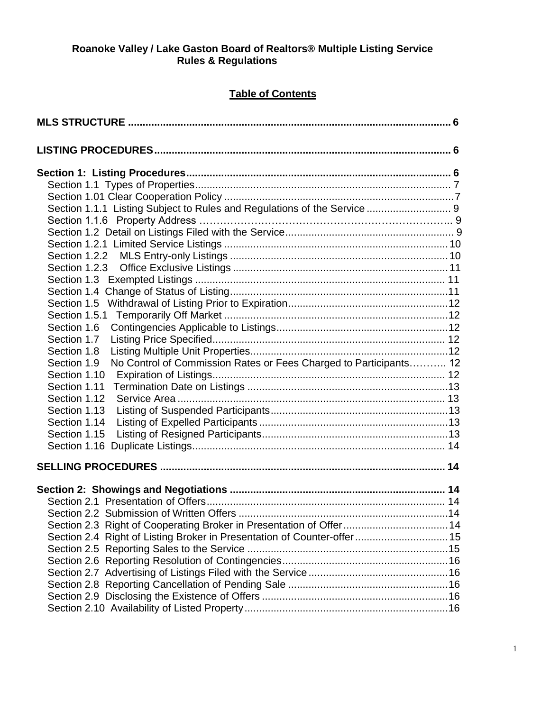### **Roanoke Valley / Lake Gaston Board of Realtors® Multiple Listing Service Rules & Regulations**

# **Table of Contents**

| Section 1.1.1 Listing Subject to Rules and Regulations of the Service  9         |  |
|----------------------------------------------------------------------------------|--|
|                                                                                  |  |
|                                                                                  |  |
|                                                                                  |  |
|                                                                                  |  |
|                                                                                  |  |
|                                                                                  |  |
|                                                                                  |  |
|                                                                                  |  |
|                                                                                  |  |
| Section 1.6                                                                      |  |
| Section 1.7                                                                      |  |
| Section 1.8                                                                      |  |
| No Control of Commission Rates or Fees Charged to Participants 12<br>Section 1.9 |  |
| Section 1.10                                                                     |  |
| Section 1.11                                                                     |  |
| Section 1.12                                                                     |  |
| Section 1.13                                                                     |  |
| Section 1.14                                                                     |  |
| Section 1.15                                                                     |  |
|                                                                                  |  |
|                                                                                  |  |
|                                                                                  |  |
|                                                                                  |  |
|                                                                                  |  |
| Section 2.3 Right of Cooperating Broker in Presentation of Offer 14              |  |
| Section 2.4 Right of Listing Broker in Presentation of Counter-offer 15          |  |
|                                                                                  |  |
|                                                                                  |  |
|                                                                                  |  |
|                                                                                  |  |
|                                                                                  |  |
|                                                                                  |  |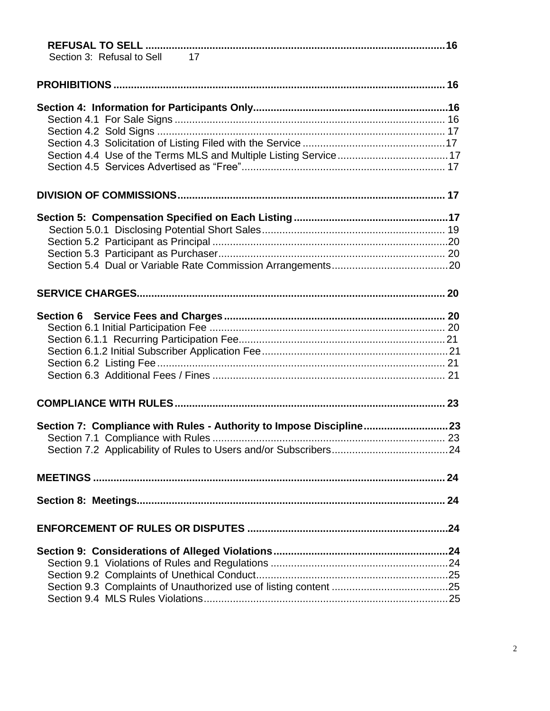| Section 3: Refusal to Sell 17                                       |  |
|---------------------------------------------------------------------|--|
|                                                                     |  |
|                                                                     |  |
|                                                                     |  |
|                                                                     |  |
|                                                                     |  |
|                                                                     |  |
|                                                                     |  |
|                                                                     |  |
|                                                                     |  |
|                                                                     |  |
|                                                                     |  |
|                                                                     |  |
|                                                                     |  |
|                                                                     |  |
|                                                                     |  |
|                                                                     |  |
|                                                                     |  |
|                                                                     |  |
|                                                                     |  |
|                                                                     |  |
|                                                                     |  |
| Section 7: Compliance with Rules - Authority to Impose Discipline23 |  |
|                                                                     |  |
|                                                                     |  |
|                                                                     |  |
|                                                                     |  |
|                                                                     |  |
|                                                                     |  |
|                                                                     |  |
|                                                                     |  |
|                                                                     |  |
|                                                                     |  |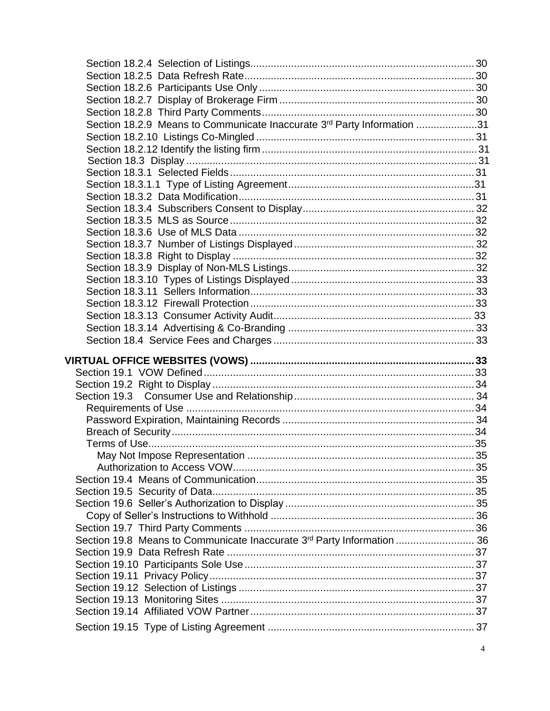| Section 18.2.9 Means to Communicate Inaccurate 3rd Party Information 31 |  |
|-------------------------------------------------------------------------|--|
|                                                                         |  |
|                                                                         |  |
|                                                                         |  |
|                                                                         |  |
|                                                                         |  |
|                                                                         |  |
|                                                                         |  |
|                                                                         |  |
|                                                                         |  |
|                                                                         |  |
|                                                                         |  |
|                                                                         |  |
|                                                                         |  |
|                                                                         |  |
|                                                                         |  |
|                                                                         |  |
|                                                                         |  |
|                                                                         |  |
|                                                                         |  |
|                                                                         |  |
|                                                                         |  |
|                                                                         |  |
|                                                                         |  |
|                                                                         |  |
|                                                                         |  |
|                                                                         |  |
|                                                                         |  |
|                                                                         |  |
|                                                                         |  |
|                                                                         |  |
|                                                                         |  |
|                                                                         |  |
|                                                                         |  |
|                                                                         |  |
|                                                                         |  |
| Section 19.8 Means to Communicate Inaccurate 3rd Party Information  36  |  |
|                                                                         |  |
|                                                                         |  |
|                                                                         |  |
|                                                                         |  |
|                                                                         |  |
|                                                                         |  |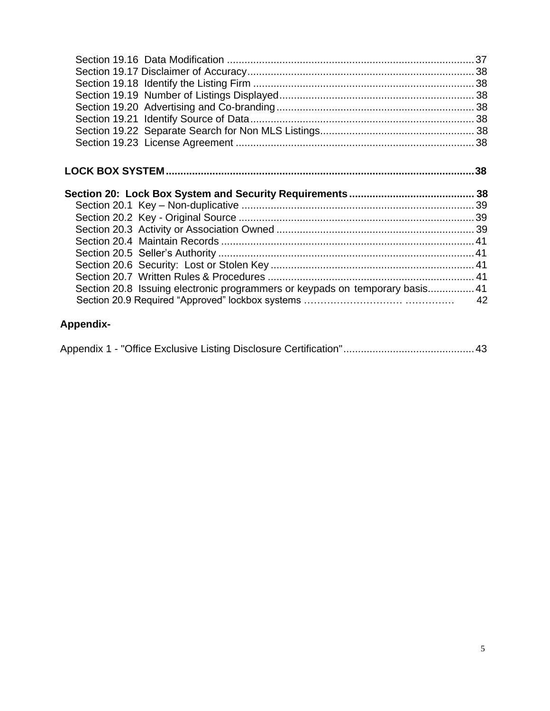| Section 20.8 Issuing electronic programmers or keypads on temporary basis 41 |  |
|------------------------------------------------------------------------------|--|

# **[Appendix-](#page-24-0)**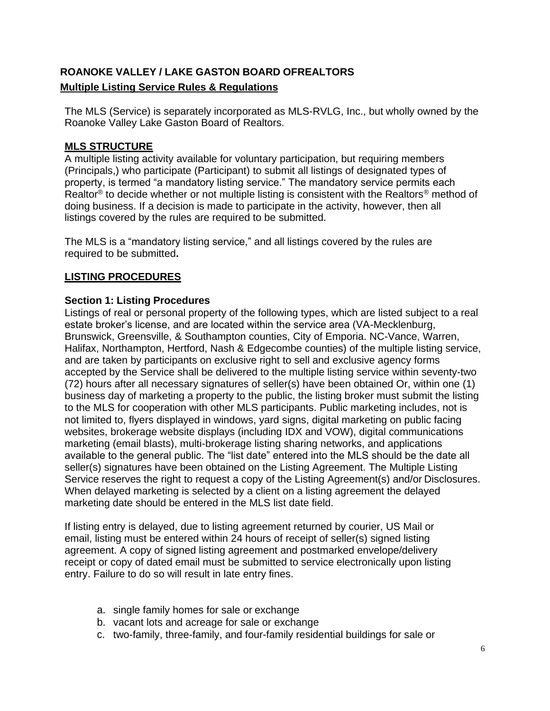# **ROANOKE VALLEY / LAKE GASTON BOARD OFREALTORS Multiple Listing Service Rules & Regulations**

The MLS (Service) is separately incorporated as MLS-RVLG, Inc., but wholly owned by the Roanoke Valley Lake Gaston Board of Realtors.

## **MLS STRUCTURE**

A multiple listing activity available for voluntary participation, but requiring members (Principals,) who participate (Participant) to submit all listings of designated types of property, is termed "a mandatory listing service." The mandatory service permits each Realtor® to decide whether or not multiple listing is consistent with the Realtors® method of doing business. If a decision is made to participate in the activity, however, then all listings covered by the rules are required to be submitted.

The MLS is a "mandatory listing service," and all listings covered by the rules are required to be submitted**.**

# **LISTING PROCEDURES**

### **Section 1: Listing Procedures**

Listings of real or personal property of the following types, which are listed subject to a real estate broker's license, and are located within the service area (VA-Mecklenburg, Brunswick, Greensville, & Southampton counties, City of Emporia. NC-Vance, Warren, Halifax, Northampton, Hertford, Nash & Edgecombe counties) of the multiple listing service, and are taken by participants on exclusive right to sell and exclusive agency forms accepted by the Service shall be delivered to the multiple listing service within seventy-two (72) hours after all necessary signatures of seller(s) have been obtained Or, within one (1) business day of marketing a property to the public, the listing broker must submit the listing to the MLS for cooperation with other MLS participants. Public marketing includes, not is not limited to, flyers displayed in windows, yard signs, digital marketing on public facing websites, brokerage website displays (including IDX and VOW), digital communications marketing (email blasts), multi-brokerage listing sharing networks, and applications available to the general public. The "list date" entered into the MLS should be the date all seller(s) signatures have been obtained on the Listing Agreement. The Multiple Listing Service reserves the right to request a copy of the Listing Agreement(s) and/or Disclosures. When delayed marketing is selected by a client on a listing agreement the delayed marketing date should be entered in the MLS list date field.

If listing entry is delayed, due to listing agreement returned by courier, US Mail or email, listing must be entered within 24 hours of receipt of seller(s) signed listing agreement. A copy of signed listing agreement and postmarked envelope/delivery receipt or copy of dated email must be submitted to service electronically upon listing entry. Failure to do so will result in late entry fines.

- a. single family homes for sale or exchange
- b. vacant lots and acreage for sale or exchange
- c. two-family, three-family, and four-family residential buildings for sale or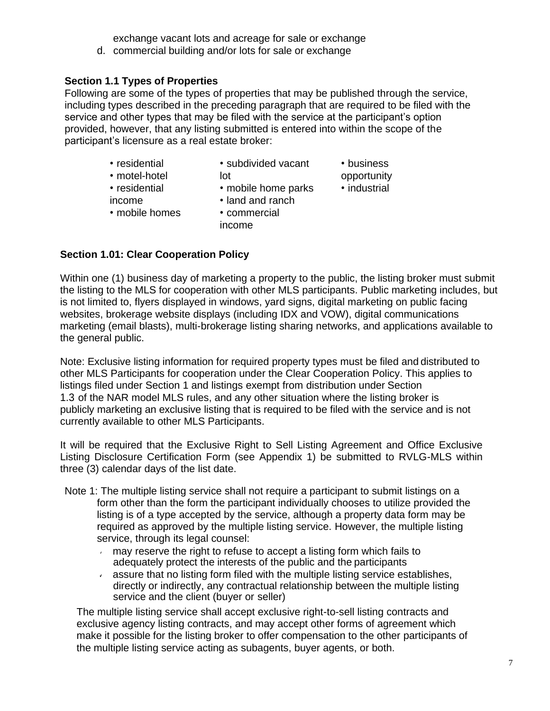exchange vacant lots and acreage for sale or exchange

d. commercial building and/or lots for sale or exchange

# **Section 1.1 Types of Properties**

Following are some of the types of properties that may be published through the service, including types described in the preceding paragraph that are required to be filed with the service and other types that may be filed with the service at the participant's option provided, however, that any listing submitted is entered into within the scope of the participant's licensure as a real estate broker:

- 
- residential subdivided vacant business
- motel-hotel **lot** lot opportunity
- residential mobile home parks industrial
- 
- income land and ranch
- mobile homes commercial
- - income
- 
- 

**Section 1.01: Clear Cooperation Policy**

Within one (1) business day of marketing a property to the public, the listing broker must submit the listing to the MLS for cooperation with other MLS participants. Public marketing includes, but is not limited to, flyers displayed in windows, yard signs, digital marketing on public facing websites, brokerage website displays (including IDX and VOW), digital communications marketing (email blasts), multi-brokerage listing sharing networks, and applications available to the general public.

Note: Exclusive listing information for required property types must be filed and distributed to other MLS Participants for cooperation under the Clear Cooperation Policy. This applies to listings filed under Section 1 and listings exempt from distribution under Section 1.3 of the NAR model MLS rules, and any other situation where the listing broker is publicly marketing an exclusive listing that is required to be filed with the service and is not currently available to other MLS Participants.

It will be required that the Exclusive Right to Sell Listing Agreement and Office Exclusive Listing Disclosure Certification Form (see Appendix 1) be submitted to RVLG-MLS within three (3) calendar days of the list date.

- Note 1: The multiple listing service shall not require a participant to submit listings on a form other than the form the participant individually chooses to utilize provided the listing is of a type accepted by the service, although a property data form may be required as approved by the multiple listing service. However, the multiple listing service, through its legal counsel:
	- may reserve the right to refuse to accept a listing form which fails to adequately protect the interests of the public and the participants
	- assure that no listing form filed with the multiple listing service establishes,  $\epsilon$ directly or indirectly, any contractual relationship between the multiple listing service and the client (buyer or seller)

The multiple listing service shall accept exclusive right-to-sell listing contracts and exclusive agency listing contracts, and may accept other forms of agreement which make it possible for the listing broker to offer compensation to the other participants of the multiple listing service acting as subagents, buyer agents, or both.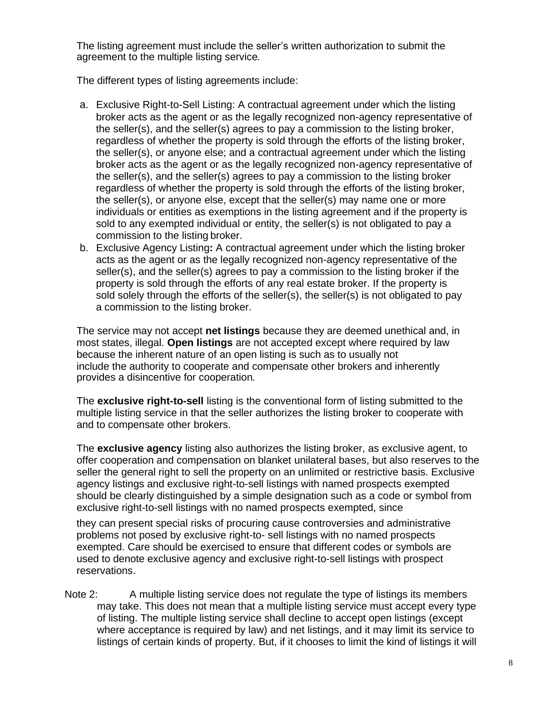The listing agreement must include the seller's written authorization to submit the agreement to the multiple listing service*.*

The different types of listing agreements include:

- a. Exclusive Right-to-Sell Listing: A contractual agreement under which the listing broker acts as the agent or as the legally recognized non-agency representative of the seller(s), and the seller(s) agrees to pay a commission to the listing broker, regardless of whether the property is sold through the efforts of the listing broker, the seller(s), or anyone else; and a contractual agreement under which the listing broker acts as the agent or as the legally recognized non-agency representative of the seller(s), and the seller(s) agrees to pay a commission to the listing broker regardless of whether the property is sold through the efforts of the listing broker, the seller(s), or anyone else, except that the seller(s) may name one or more individuals or entities as exemptions in the listing agreement and if the property is sold to any exempted individual or entity, the seller(s) is not obligated to pay a commission to the listing broker.
- b. Exclusive Agency Listing**:** A contractual agreement under which the listing broker acts as the agent or as the legally recognized non-agency representative of the seller(s), and the seller(s) agrees to pay a commission to the listing broker if the property is sold through the efforts of any real estate broker. If the property is sold solely through the efforts of the seller(s), the seller(s) is not obligated to pay a commission to the listing broker.

The service may not accept **net listings** because they are deemed unethical and, in most states, illegal. **Open listings** are not accepted except where required by law because the inherent nature of an open listing is such as to usually not include the authority to cooperate and compensate other brokers and inherently provides a disincentive for cooperation*.*

The **exclusive right-to-sell** listing is the conventional form of listing submitted to the multiple listing service in that the seller authorizes the listing broker to cooperate with and to compensate other brokers.

The **exclusive agency** listing also authorizes the listing broker, as exclusive agent, to offer cooperation and compensation on blanket unilateral bases, but also reserves to the seller the general right to sell the property on an unlimited or restrictive basis. Exclusive agency listings and exclusive right-to-sell listings with named prospects exempted should be clearly distinguished by a simple designation such as a code or symbol from exclusive right-to-sell listings with no named prospects exempted, since

they can present special risks of procuring cause controversies and administrative problems not posed by exclusive right-to- sell listings with no named prospects exempted. Care should be exercised to ensure that different codes or symbols are used to denote exclusive agency and exclusive right-to-sell listings with prospect reservations.

Note 2: A multiple listing service does not regulate the type of listings its members may take. This does not mean that a multiple listing service must accept every type of listing. The multiple listing service shall decline to accept open listings (except where acceptance is required by law) and net listings, and it may limit its service to listings of certain kinds of property. But, if it chooses to limit the kind of listings it will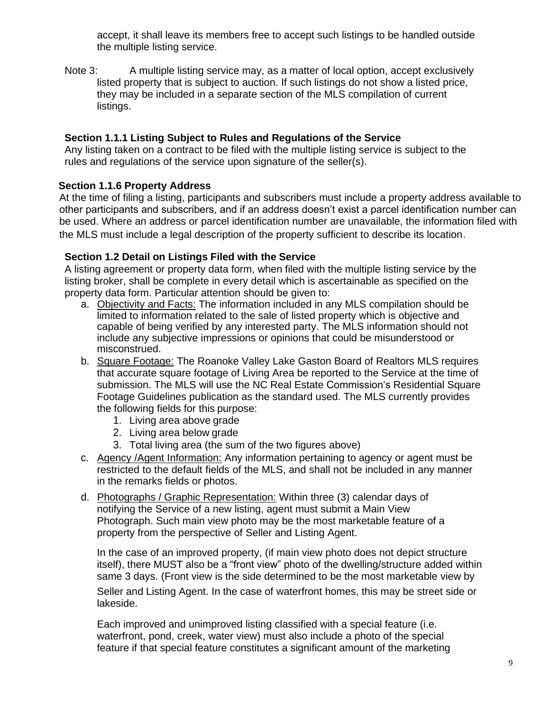accept, it shall leave its members free to accept such listings to be handled outside the multiple listing service.

Note 3: A multiple listing service may, as a matter of local option, accept exclusively listed property that is subject to auction. If such listings do not show a listed price, they may be included in a separate section of the MLS compilation of current listings.

# <span id="page-8-0"></span>**Section 1.1.1 Listing Subject to Rules and Regulations of the Service**

Any listing taken on a contract to be filed with the multiple listing service is subject to the rules and regulations of the service upon signature of the seller(s).

# **Section 1.1.6 Property Address**

At the time of filing a listing, participants and subscribers must include a property address available to other participants and subscribers, and if an address doesn't exist a parcel identification number can be used. Where an address or parcel identification number are unavailable, the information filed with the MLS must include a legal description of the property sufficient to describe its location.

### **Section 1.2 Detail on Listings Filed with the Service**

A listing agreement or property data form, when filed with the multiple listing service by the listing broker, shall be complete in every detail which is ascertainable as specified on the property data form. Particular attention should be given to:

- a. Objectivity and Facts: The information included in any MLS compilation should be limited to information related to the sale of listed property which is objective and capable of being verified by any interested party. The MLS information should not include any subjective impressions or opinions that could be misunderstood or misconstrued.
- b. Square Footage: The Roanoke Valley Lake Gaston Board of Realtors MLS requires that accurate square footage of Living Area be reported to the Service at the time of submission. The MLS will use the NC Real Estate Commission's Residential Square Footage Guidelines publication as the standard used. The MLS currently provides the following fields for this purpose:
	- 1. Living area above grade
	- 2. Living area below grade
	- 3. Total living area (the sum of the two figures above)
- c. Agency /Agent Information: Any information pertaining to agency or agent must be restricted to the default fields of the MLS, and shall not be included in any manner in the remarks fields or photos.
- d. Photographs / Graphic Representation: Within three (3) calendar days of notifying the Service of a new listing, agent must submit a Main View Photograph. Such main view photo may be the most marketable feature of a property from the perspective of Seller and Listing Agent.

In the case of an improved property, (if main view photo does not depict structure itself), there MUST also be a "front view" photo of the dwelling/structure added within same 3 days. (Front view is the side determined to be the most marketable view by

Seller and Listing Agent. In the case of waterfront homes, this may be street side or lakeside.

Each improved and unimproved listing classified with a special feature (i.e. waterfront, pond, creek, water view) must also include a photo of the special feature if that special feature constitutes a significant amount of the marketing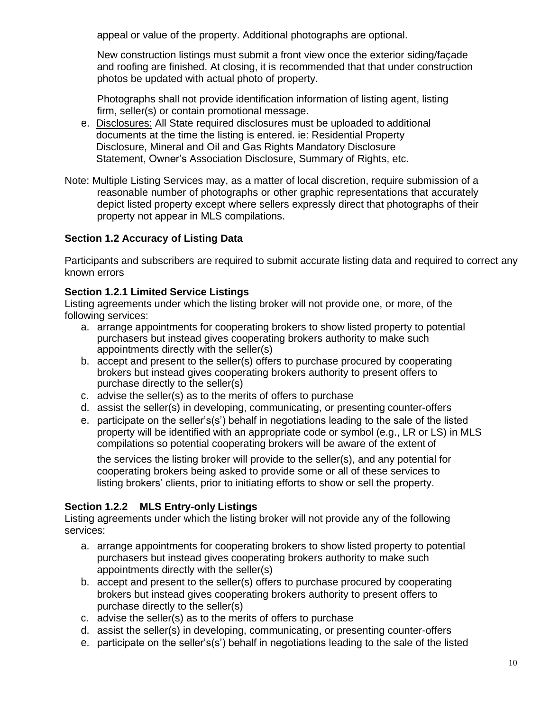appeal or value of the property. Additional photographs are optional.

New construction listings must submit a front view once the exterior siding/façade and roofing are finished. At closing, it is recommended that that under construction photos be updated with actual photo of property.

Photographs shall not provide identification information of listing agent, listing firm, seller(s) or contain promotional message.

- e. Disclosures: All State required disclosures must be uploaded to additional documents at the time the listing is entered. ie: Residential Property Disclosure, Mineral and Oil and Gas Rights Mandatory Disclosure Statement, Owner's Association Disclosure, Summary of Rights, etc.
- Note: Multiple Listing Services may, as a matter of local discretion, require submission of a reasonable number of photographs or other graphic representations that accurately depict listed property except where sellers expressly direct that photographs of their property not appear in MLS compilations.

# **Section 1.2 Accuracy of Listing Data**

Participants and subscribers are required to submit accurate listing data and required to correct any known errors

### **Section 1.2.1 Limited Service Listings**

Listing agreements under which the listing broker will not provide one, or more, of the following services:

- a. arrange appointments for cooperating brokers to show listed property to potential purchasers but instead gives cooperating brokers authority to make such appointments directly with the seller(s)
- b. accept and present to the seller(s) offers to purchase procured by cooperating brokers but instead gives cooperating brokers authority to present offers to purchase directly to the seller(s)
- c. advise the seller(s) as to the merits of offers to purchase
- d. assist the seller(s) in developing, communicating, or presenting counter-offers
- e. participate on the seller's(s') behalf in negotiations leading to the sale of the listed property will be identified with an appropriate code or symbol (e.g., LR or LS) in MLS compilations so potential cooperating brokers will be aware of the extent of

the services the listing broker will provide to the seller(s), and any potential for cooperating brokers being asked to provide some or all of these services to listing brokers' clients, prior to initiating efforts to show or sell the property.

# **Section 1.2.2 MLS Entry-only Listings**

Listing agreements under which the listing broker will not provide any of the following services:

- a. arrange appointments for cooperating brokers to show listed property to potential purchasers but instead gives cooperating brokers authority to make such appointments directly with the seller(s)
- b. accept and present to the seller(s) offers to purchase procured by cooperating brokers but instead gives cooperating brokers authority to present offers to purchase directly to the seller(s)
- c. advise the seller(s) as to the merits of offers to purchase
- d. assist the seller(s) in developing, communicating, or presenting counter-offers
- e. participate on the seller's(s') behalf in negotiations leading to the sale of the listed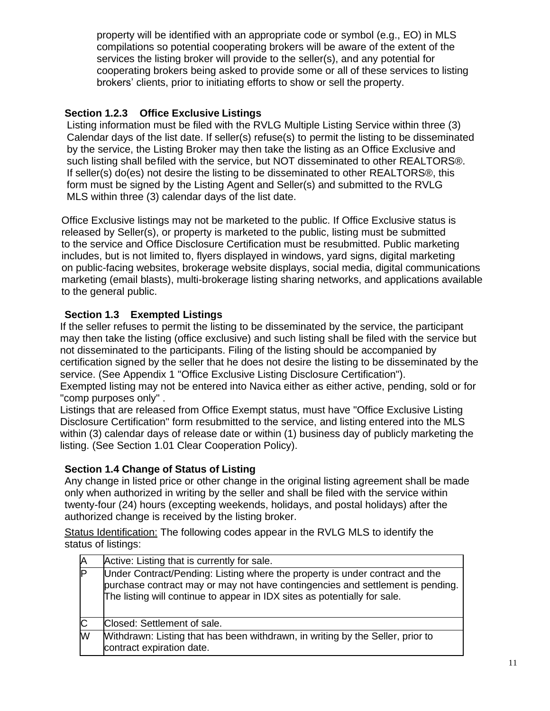property will be identified with an appropriate code or symbol (e.g., EO) in MLS compilations so potential cooperating brokers will be aware of the extent of the services the listing broker will provide to the seller(s), and any potential for cooperating brokers being asked to provide some or all of these services to listing brokers' clients, prior to initiating efforts to show or sell the property.

## **Section 1.2.3 Office Exclusive Listings**

 Listing information must be filed with the RVLG Multiple Listing Service within three (3) Calendar days of the list date. If seller(s) refuse(s) to permit the listing to be disseminated by the service, the Listing Broker may then take the listing as an Office Exclusive and such listing shall befiled with the service, but NOT disseminated to other REALTORS®. If seller(s) do(es) not desire the listing to be disseminated to other REALTORS®, this form must be signed by the Listing Agent and Seller(s) and submitted to the RVLG MLS within three (3) calendar days of the list date.

 Office Exclusive listings may not be marketed to the public. If Office Exclusive status is released by Seller(s), or property is marketed to the public, listing must be submitted to the service and Office Disclosure Certification must be resubmitted. Public marketing includes, but is not limited to, flyers displayed in windows, yard signs, digital marketing on public-facing websites, brokerage website displays, social media, digital communications marketing (email blasts), multi-brokerage listing sharing networks, and applications available to the general public.

# **Section 1.3 Exempted Listings**

If the seller refuses to permit the listing to be disseminated by the service, the participant may then take the listing (office exclusive) and such listing shall be filed with the service but not disseminated to the participants. Filing of the listing should be accompanied by certification signed by the seller that he does not desire the listing to be disseminated by the service. (See Appendix 1 "Office Exclusive Listing Disclosure Certification").

Exempted listing may not be entered into Navica either as either active, pending, sold or for "comp purposes only" .

Listings that are released from Office Exempt status, must have "Office Exclusive Listing Disclosure Certification" form resubmitted to the service, and listing entered into the MLS within (3) calendar days of release date or within (1) business day of publicly marketing the listing. (See Section 1.01 Clear Cooperation Policy).

### **Section 1.4 Change of Status of Listing**

Any change in listed price or other change in the original listing agreement shall be made only when authorized in writing by the seller and shall be filed with the service within twenty-four (24) hours (excepting weekends, holidays, and postal holidays) after the authorized change is received by the listing broker.

Status Identification: The following codes appear in the RVLG MLS to identify the status of listings:

| ΙA           | Active: Listing that is currently for sale.                                                                                                                                                                                                 |
|--------------|---------------------------------------------------------------------------------------------------------------------------------------------------------------------------------------------------------------------------------------------|
| P            | Under Contract/Pending: Listing where the property is under contract and the<br>purchase contract may or may not have contingencies and settlement is pending.<br>The listing will continue to appear in IDX sites as potentially for sale. |
| $\mathsf{C}$ | Closed: Settlement of sale.                                                                                                                                                                                                                 |
| W            | Withdrawn: Listing that has been withdrawn, in writing by the Seller, prior to<br>contract expiration date.                                                                                                                                 |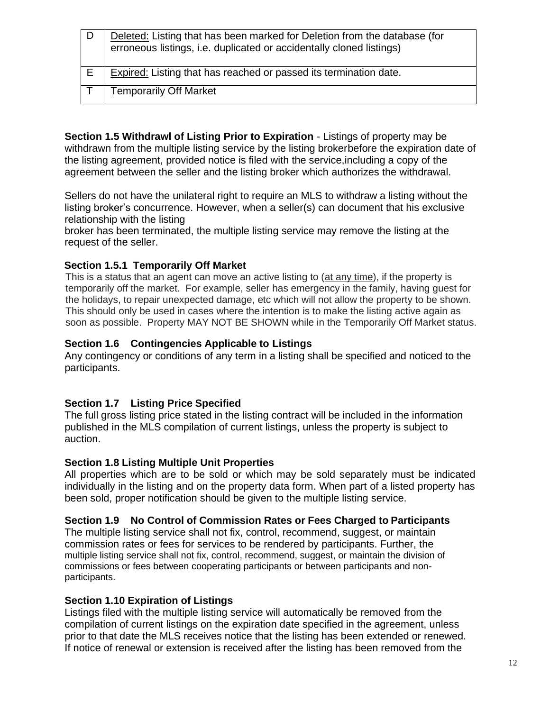|    | Deleted: Listing that has been marked for Deletion from the database (for<br>erroneous listings, i.e. duplicated or accidentally cloned listings) |
|----|---------------------------------------------------------------------------------------------------------------------------------------------------|
| E. | <b>Expired:</b> Listing that has reached or passed its termination date.                                                                          |
|    | <b>Temporarily Off Market</b>                                                                                                                     |

**Section 1.5 Withdrawl of Listing Prior to Expiration** - Listings of property may be withdrawn from the multiple listing service by the listing brokerbefore the expiration date of the listing agreement, provided notice is filed with the service,including a copy of the agreement between the seller and the listing broker which authorizes the withdrawal.

Sellers do not have the unilateral right to require an MLS to withdraw a listing without the listing broker's concurrence. However, when a seller(s) can document that his exclusive relationship with the listing

broker has been terminated, the multiple listing service may remove the listing at the request of the seller.

# **Section 1.5.1 Temporarily Off Market**

 This is a status that an agent can move an active listing to (at any time), if the property is temporarily off the market. For example, seller has emergency in the family, having guest for the holidays, to repair unexpected damage, etc which will not allow the property to be shown. This should only be used in cases where the intention is to make the listing active again as soon as possible. Property MAY NOT BE SHOWN while in the Temporarily Off Market status.

### **Section 1.6 Contingencies Applicable to Listings**

Any contingency or conditions of any term in a listing shall be specified and noticed to the participants.

### **Section 1.7 Listing Price Specified**

The full gross listing price stated in the listing contract will be included in the information published in the MLS compilation of current listings, unless the property is subject to auction.

### **Section 1.8 Listing Multiple Unit Properties**

All properties which are to be sold or which may be sold separately must be indicated individually in the listing and on the property data form. When part of a listed property has been sold, proper notification should be given to the multiple listing service.

### **Section 1.9 No Control of Commission Rates or Fees Charged to Participants**

The multiple listing service shall not fix, control, recommend, suggest, or maintain commission rates or fees for services to be rendered by participants. Further, the multiple listing service shall not fix, control, recommend, suggest, or maintain the division of commissions or fees between cooperating participants or between participants and nonparticipants.

### **Section 1.10 Expiration of Listings**

Listings filed with the multiple listing service will automatically be removed from the compilation of current listings on the expiration date specified in the agreement, unless prior to that date the MLS receives notice that the listing has been extended or renewed. If notice of renewal or extension is received after the listing has been removed from the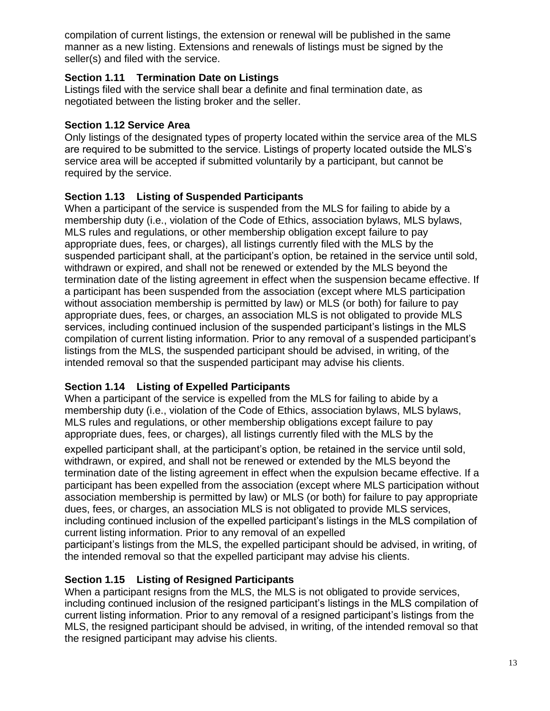compilation of current listings, the extension or renewal will be published in the same manner as a new listing. Extensions and renewals of listings must be signed by the seller(s) and filed with the service.

## **Section 1.11 Termination Date on Listings**

Listings filed with the service shall bear a definite and final termination date, as negotiated between the listing broker and the seller.

# **Section 1.12 Service Area**

Only listings of the designated types of property located within the service area of the MLS are required to be submitted to the service. Listings of property located outside the MLS's service area will be accepted if submitted voluntarily by a participant, but cannot be required by the service.

# **Section 1.13 Listing of Suspended Participants**

When a participant of the service is suspended from the MLS for failing to abide by a membership duty (i.e., violation of the Code of Ethics, association bylaws, MLS bylaws, MLS rules and regulations, or other membership obligation except failure to pay appropriate dues, fees, or charges), all listings currently filed with the MLS by the suspended participant shall, at the participant's option, be retained in the service until sold, withdrawn or expired, and shall not be renewed or extended by the MLS beyond the termination date of the listing agreement in effect when the suspension became effective. If a participant has been suspended from the association (except where MLS participation without association membership is permitted by law) or MLS (or both) for failure to pay appropriate dues, fees, or charges, an association MLS is not obligated to provide MLS services, including continued inclusion of the suspended participant's listings in the MLS compilation of current listing information. Prior to any removal of a suspended participant's listings from the MLS, the suspended participant should be advised, in writing, of the intended removal so that the suspended participant may advise his clients.

# **Section 1.14 Listing of Expelled Participants**

When a participant of the service is expelled from the MLS for failing to abide by a membership duty (i.e., violation of the Code of Ethics, association bylaws, MLS bylaws, MLS rules and regulations, or other membership obligations except failure to pay appropriate dues, fees, or charges), all listings currently filed with the MLS by the

expelled participant shall, at the participant's option, be retained in the service until sold, withdrawn, or expired, and shall not be renewed or extended by the MLS beyond the termination date of the listing agreement in effect when the expulsion became effective. If a participant has been expelled from the association (except where MLS participation without association membership is permitted by law) or MLS (or both) for failure to pay appropriate dues, fees, or charges, an association MLS is not obligated to provide MLS services, including continued inclusion of the expelled participant's listings in the MLS compilation of current listing information. Prior to any removal of an expelled

participant's listings from the MLS, the expelled participant should be advised, in writing, of the intended removal so that the expelled participant may advise his clients.

# **Section 1.15 Listing of Resigned Participants**

When a participant resigns from the MLS, the MLS is not obligated to provide services, including continued inclusion of the resigned participant's listings in the MLS compilation of current listing information. Prior to any removal of a resigned participant's listings from the MLS, the resigned participant should be advised, in writing, of the intended removal so that the resigned participant may advise his clients.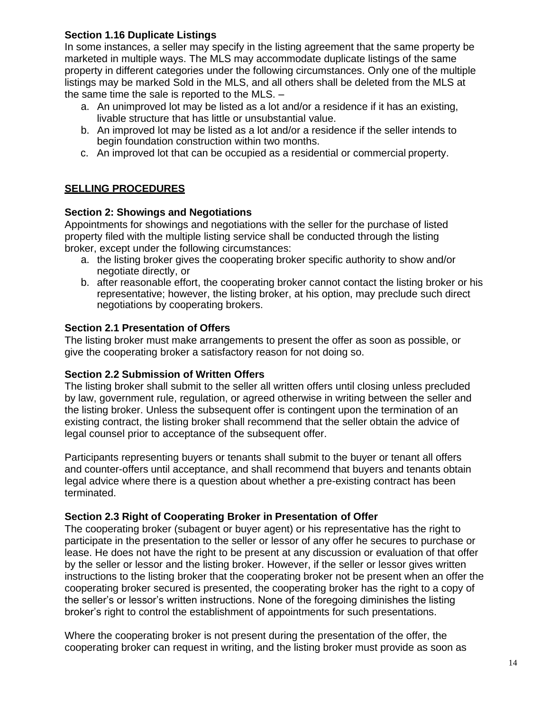## **Section 1.16 Duplicate Listings**

In some instances, a seller may specify in the listing agreement that the same property be marketed in multiple ways. The MLS may accommodate duplicate listings of the same property in different categories under the following circumstances. Only one of the multiple listings may be marked Sold in the MLS, and all others shall be deleted from the MLS at the same time the sale is reported to the MLS. –

- a. An unimproved lot may be listed as a lot and/or a residence if it has an existing, livable structure that has little or unsubstantial value.
- b. An improved lot may be listed as a lot and/or a residence if the seller intends to begin foundation construction within two months.
- c. An improved lot that can be occupied as a residential or commercial property.

# **SELLING PROCEDURES**

### **Section 2: Showings and Negotiations**

Appointments for showings and negotiations with the seller for the purchase of listed property filed with the multiple listing service shall be conducted through the listing broker, except under the following circumstances:

- a. the listing broker gives the cooperating broker specific authority to show and/or negotiate directly, or
- b. after reasonable effort, the cooperating broker cannot contact the listing broker or his representative; however, the listing broker, at his option, may preclude such direct negotiations by cooperating brokers.

### **Section 2.1 Presentation of Offers**

The listing broker must make arrangements to present the offer as soon as possible, or give the cooperating broker a satisfactory reason for not doing so.

#### **Section 2.2 Submission of Written Offers**

The listing broker shall submit to the seller all written offers until closing unless precluded by law, government rule, regulation, or agreed otherwise in writing between the seller and the listing broker. Unless the subsequent offer is contingent upon the termination of an existing contract, the listing broker shall recommend that the seller obtain the advice of legal counsel prior to acceptance of the subsequent offer.

Participants representing buyers or tenants shall submit to the buyer or tenant all offers and counter-offers until acceptance, and shall recommend that buyers and tenants obtain legal advice where there is a question about whether a pre-existing contract has been terminated.

#### <span id="page-13-0"></span>**Section 2.3 Right of Cooperating Broker in Presentation of Offer**

The cooperating broker (subagent or buyer agent) or his representative has the right to participate in the presentation to the seller or lessor of any offer he secures to purchase or lease. He does not have the right to be present at any discussion or evaluation of that offer by the seller or lessor and the listing broker. However, if the seller or lessor gives written instructions to the listing broker that the cooperating broker not be present when an offer the cooperating broker secured is presented, the cooperating broker has the right to a copy of the seller's or lessor's written instructions. None of the foregoing diminishes the listing broker's right to control the establishment of appointments for such presentations.

Where the cooperating broker is not present during the presentation of the offer, the cooperating broker can request in writing, and the listing broker must provide as soon as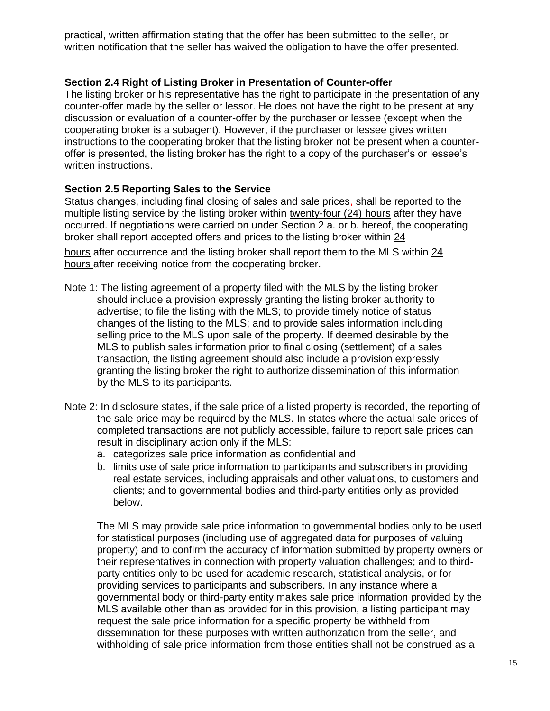practical, written affirmation stating that the offer has been submitted to the seller, or written notification that the seller has waived the obligation to have the offer presented.

#### <span id="page-14-0"></span>**Section 2.4 Right of Listing Broker in Presentation of Counter-offer**

The listing broker or his representative has the right to participate in the presentation of any counter-offer made by the seller or lessor. He does not have the right to be present at any discussion or evaluation of a counter-offer by the purchaser or lessee (except when the cooperating broker is a subagent). However, if the purchaser or lessee gives written instructions to the cooperating broker that the listing broker not be present when a counteroffer is presented, the listing broker has the right to a copy of the purchaser's or lessee's written instructions.

### **Section 2.5 Reporting Sales to the Service**

Status changes, including final closing of sales and sale prices, shall be reported to the multiple listing service by the listing broker within twenty-four (24) hours after they have occurred. If negotiations were carried on under Section 2 a. or b. hereof, the cooperating broker shall report accepted offers and prices to the listing broker within 24

hours after occurrence and the listing broker shall report them to the MLS within 24 hours after receiving notice from the cooperating broker.

- Note 1: The listing agreement of a property filed with the MLS by the listing broker should include a provision expressly granting the listing broker authority to advertise; to file the listing with the MLS; to provide timely notice of status changes of the listing to the MLS; and to provide sales information including selling price to the MLS upon sale of the property. If deemed desirable by the MLS to publish sales information prior to final closing (settlement) of a sales transaction, the listing agreement should also include a provision expressly granting the listing broker the right to authorize dissemination of this information by the MLS to its participants.
- Note 2: In disclosure states, if the sale price of a listed property is recorded, the reporting of the sale price may be required by the MLS. In states where the actual sale prices of completed transactions are not publicly accessible, failure to report sale prices can result in disciplinary action only if the MLS:
	- a. categorizes sale price information as confidential and
	- b. limits use of sale price information to participants and subscribers in providing real estate services, including appraisals and other valuations, to customers and clients; and to governmental bodies and third-party entities only as provided below.

The MLS may provide sale price information to governmental bodies only to be used for statistical purposes (including use of aggregated data for purposes of valuing property) and to confirm the accuracy of information submitted by property owners or their representatives in connection with property valuation challenges; and to thirdparty entities only to be used for academic research, statistical analysis, or for providing services to participants and subscribers. In any instance where a governmental body or third-party entity makes sale price information provided by the MLS available other than as provided for in this provision, a listing participant may request the sale price information for a specific property be withheld from dissemination for these purposes with written authorization from the seller, and withholding of sale price information from those entities shall not be construed as a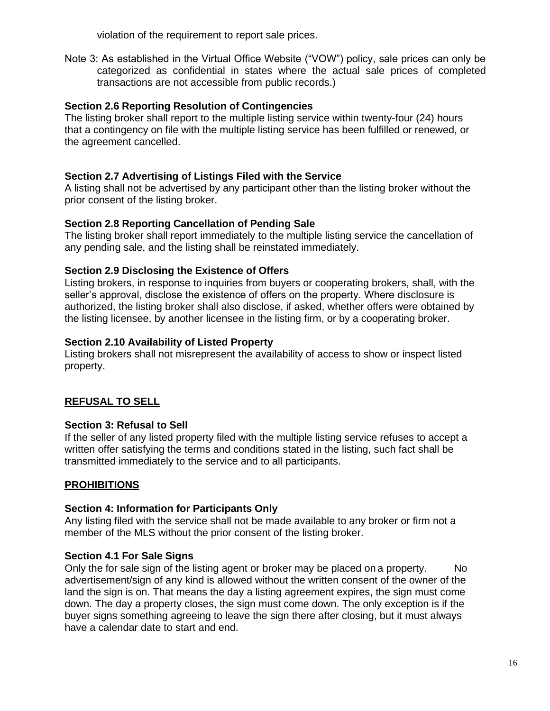violation of the requirement to report sale prices.

Note 3: As established in the Virtual Office Website ("VOW") policy, sale prices can only be categorized as confidential in states where the actual sale prices of completed transactions are not accessible from public records.)

## **Section 2.6 Reporting Resolution of Contingencies**

The listing broker shall report to the multiple listing service within twenty-four (24) hours that a contingency on file with the multiple listing service has been fulfilled or renewed, or the agreement cancelled.

## **Section 2.7 Advertising of Listings Filed with the Service**

A listing shall not be advertised by any participant other than the listing broker without the prior consent of the listing broker.

### **Section 2.8 Reporting Cancellation of Pending Sale**

The listing broker shall report immediately to the multiple listing service the cancellation of any pending sale, and the listing shall be reinstated immediately.

# **Section 2.9 Disclosing the Existence of Offers**

Listing brokers, in response to inquiries from buyers or cooperating brokers, shall, with the seller's approval, disclose the existence of offers on the property. Where disclosure is authorized, the listing broker shall also disclose, if asked, whether offers were obtained by the listing licensee, by another licensee in the listing firm, or by a cooperating broker.

### **Section 2.10 Availability of Listed Property**

Listing brokers shall not misrepresent the availability of access to show or inspect listed property.

# **REFUSAL TO SELL**

# **Section 3: Refusal to Sell**

If the seller of any listed property filed with the multiple listing service refuses to accept a written offer satisfying the terms and conditions stated in the listing, such fact shall be transmitted immediately to the service and to all participants.

# **PROHIBITIONS**

### **Section 4: Information for Participants Only**

Any listing filed with the service shall not be made available to any broker or firm not a member of the MLS without the prior consent of the listing broker.

# **Section 4.1 For Sale Signs**

Only the for sale sign of the listing agent or broker may be placed on a property. No advertisement/sign of any kind is allowed without the written consent of the owner of the land the sign is on. That means the day a listing agreement expires, the sign must come down. The day a property closes, the sign must come down. The only exception is if the buyer signs something agreeing to leave the sign there after closing, but it must always have a calendar date to start and end.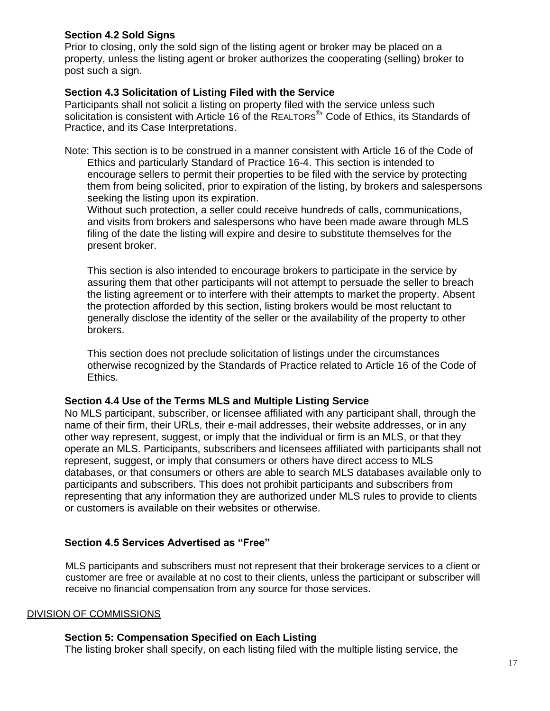### **Section 4.2 Sold Signs**

Prior to closing, only the sold sign of the listing agent or broker may be placed on a property, unless the listing agent or broker authorizes the cooperating (selling) broker to post such a sign.

### **Section 4.3 Solicitation of Listing Filed with the Service**

Participants shall not solicit a listing on property filed with the service unless such solicitation is consistent with Article 16 of the REALTORS<sup>®</sup>' Code of Ethics, its Standards of Practice, and its Case Interpretations.

Note: This section is to be construed in a manner consistent with Article 16 of the Code of Ethics and particularly Standard of Practice 16-4. This section is intended to encourage sellers to permit their properties to be filed with the service by protecting them from being solicited, prior to expiration of the listing, by brokers and salespersons seeking the listing upon its expiration.

Without such protection, a seller could receive hundreds of calls, communications, and visits from brokers and salespersons who have been made aware through MLS filing of the date the listing will expire and desire to substitute themselves for the present broker.

This section is also intended to encourage brokers to participate in the service by assuring them that other participants will not attempt to persuade the seller to breach the listing agreement or to interfere with their attempts to market the property. Absent the protection afforded by this section, listing brokers would be most reluctant to generally disclose the identity of the seller or the availability of the property to other brokers.

This section does not preclude solicitation of listings under the circumstances otherwise recognized by the Standards of Practice related to Article 16 of the Code of Ethics.

#### **Section 4.4 Use of the Terms MLS and Multiple Listing Service**

No MLS participant, subscriber, or licensee affiliated with any participant shall, through the name of their firm, their URLs, their e-mail addresses, their website addresses, or in any other way represent, suggest, or imply that the individual or firm is an MLS, or that they operate an MLS. Participants, subscribers and licensees affiliated with participants shall not represent, suggest, or imply that consumers or others have direct access to MLS databases, or that consumers or others are able to search MLS databases available only to participants and subscribers. This does not prohibit participants and subscribers from representing that any information they are authorized under MLS rules to provide to clients or customers is available on their websites or otherwise.

### **Section 4.5 Services Advertised as "Free"**

 MLS participants and subscribers must not represent that their brokerage services to a client or customer are free or available at no cost to their clients, unless the participant or subscriber will receive no financial compensation from any source for those services.

#### DIVISION OF COMMISSIONS

### **Section 5: Compensation Specified on Each Listing**

The listing broker shall specify, on each listing filed with the multiple listing service, the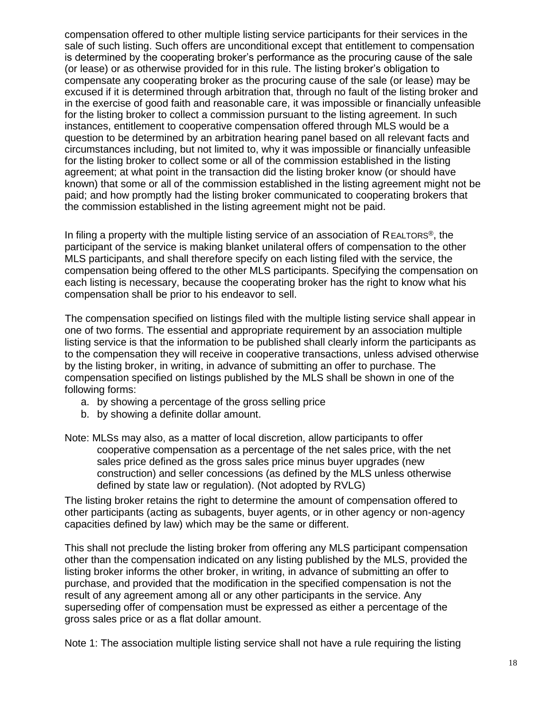compensation offered to other multiple listing service participants for their services in the sale of such listing. Such offers are unconditional except that entitlement to compensation is determined by the cooperating broker's performance as the procuring cause of the sale (or lease) or as otherwise provided for in this rule. The listing broker's obligation to compensate any cooperating broker as the procuring cause of the sale (or lease) may be excused if it is determined through arbitration that, through no fault of the listing broker and in the exercise of good faith and reasonable care, it was impossible or financially unfeasible for the listing broker to collect a commission pursuant to the listing agreement. In such instances, entitlement to cooperative compensation offered through MLS would be a question to be determined by an arbitration hearing panel based on all relevant facts and circumstances including, but not limited to, why it was impossible or financially unfeasible for the listing broker to collect some or all of the commission established in the listing agreement; at what point in the transaction did the listing broker know (or should have known) that some or all of the commission established in the listing agreement might not be paid; and how promptly had the listing broker communicated to cooperating brokers that the commission established in the listing agreement might not be paid.

In filing a property with the multiple listing service of an association of REALTORS<sup>®</sup>, the participant of the service is making blanket unilateral offers of compensation to the other MLS participants, and shall therefore specify on each listing filed with the service, the compensation being offered to the other MLS participants. Specifying the compensation on each listing is necessary, because the cooperating broker has the right to know what his compensation shall be prior to his endeavor to sell.

The compensation specified on listings filed with the multiple listing service shall appear in one of two forms. The essential and appropriate requirement by an association multiple listing service is that the information to be published shall clearly inform the participants as to the compensation they will receive in cooperative transactions, unless advised otherwise by the listing broker, in writing, in advance of submitting an offer to purchase. The compensation specified on listings published by the MLS shall be shown in one of the following forms:

- a. by showing a percentage of the gross selling price
- b. by showing a definite dollar amount.

Note: MLSs may also, as a matter of local discretion, allow participants to offer cooperative compensation as a percentage of the net sales price, with the net sales price defined as the gross sales price minus buyer upgrades (new construction) and seller concessions (as defined by the MLS unless otherwise defined by state law or regulation). (Not adopted by RVLG)

The listing broker retains the right to determine the amount of compensation offered to other participants (acting as subagents, buyer agents, or in other agency or non-agency capacities defined by law) which may be the same or different.

This shall not preclude the listing broker from offering any MLS participant compensation other than the compensation indicated on any listing published by the MLS, provided the listing broker informs the other broker, in writing, in advance of submitting an offer to purchase, and provided that the modification in the specified compensation is not the result of any agreement among all or any other participants in the service. Any superseding offer of compensation must be expressed as either a percentage of the gross sales price or as a flat dollar amount.

Note 1: The association multiple listing service shall not have a rule requiring the listing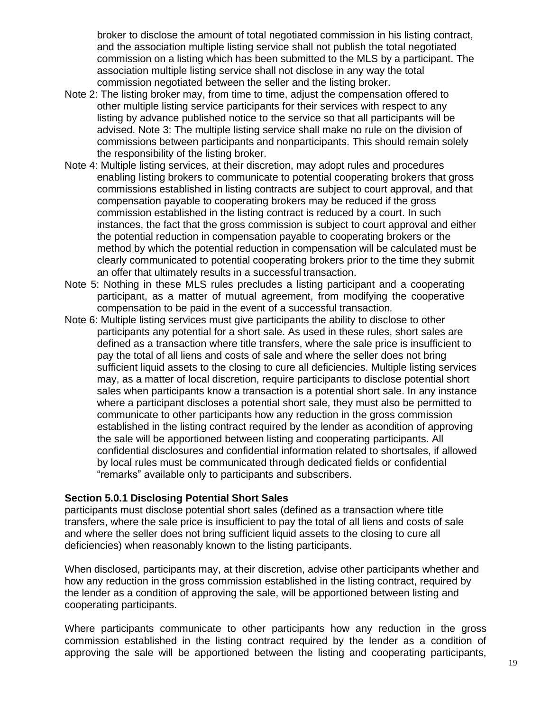broker to disclose the amount of total negotiated commission in his listing contract, and the association multiple listing service shall not publish the total negotiated commission on a listing which has been submitted to the MLS by a participant. The association multiple listing service shall not disclose in any way the total commission negotiated between the seller and the listing broker.

- Note 2: The listing broker may, from time to time, adjust the compensation offered to other multiple listing service participants for their services with respect to any listing by advance published notice to the service so that all participants will be advised. Note 3: The multiple listing service shall make no rule on the division of commissions between participants and nonparticipants. This should remain solely the responsibility of the listing broker.
- Note 4: Multiple listing services, at their discretion, may adopt rules and procedures enabling listing brokers to communicate to potential cooperating brokers that gross commissions established in listing contracts are subject to court approval, and that compensation payable to cooperating brokers may be reduced if the gross commission established in the listing contract is reduced by a court. In such instances, the fact that the gross commission is subject to court approval and either the potential reduction in compensation payable to cooperating brokers or the method by which the potential reduction in compensation will be calculated must be clearly communicated to potential cooperating brokers prior to the time they submit an offer that ultimately results in a successful transaction.
- Note 5: Nothing in these MLS rules precludes a listing participant and a cooperating participant, as a matter of mutual agreement, from modifying the cooperative compensation to be paid in the event of a successful transaction*.*
- Note 6: Multiple listing services must give participants the ability to disclose to other participants any potential for a short sale. As used in these rules, short sales are defined as a transaction where title transfers, where the sale price is insufficient to pay the total of all liens and costs of sale and where the seller does not bring sufficient liquid assets to the closing to cure all deficiencies. Multiple listing services may, as a matter of local discretion, require participants to disclose potential short sales when participants know a transaction is a potential short sale. In any instance where a participant discloses a potential short sale, they must also be permitted to communicate to other participants how any reduction in the gross commission established in the listing contract required by the lender as acondition of approving the sale will be apportioned between listing and cooperating participants. All confidential disclosures and confidential information related to shortsales, if allowed by local rules must be communicated through dedicated fields or confidential "remarks" available only to participants and subscribers.

#### **Section 5.0.1 Disclosing Potential Short Sales**

participants must disclose potential short sales (defined as a transaction where title transfers, where the sale price is insufficient to pay the total of all liens and costs of sale and where the seller does not bring sufficient liquid assets to the closing to cure all deficiencies) when reasonably known to the listing participants.

When disclosed, participants may, at their discretion, advise other participants whether and how any reduction in the gross commission established in the listing contract, required by the lender as a condition of approving the sale, will be apportioned between listing and cooperating participants.

Where participants communicate to other participants how any reduction in the gross commission established in the listing contract required by the lender as a condition of approving the sale will be apportioned between the listing and cooperating participants,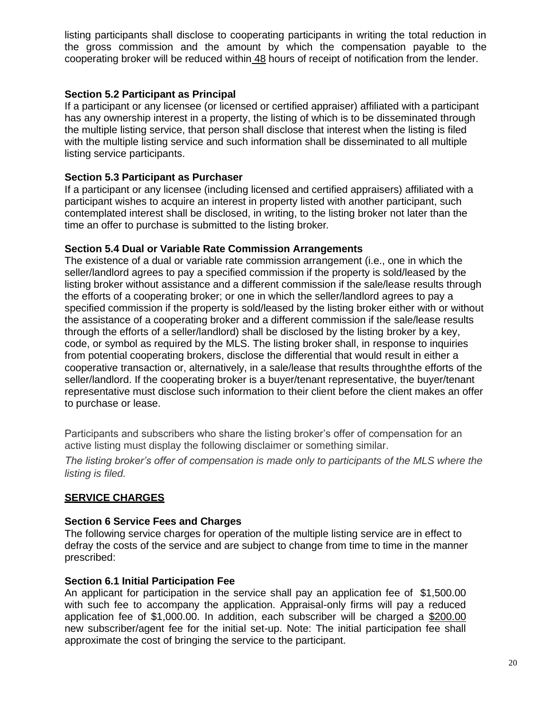listing participants shall disclose to cooperating participants in writing the total reduction in the gross commission and the amount by which the compensation payable to the cooperating broker will be reduced within 48 hours of receipt of notification from the lender.

## **Section 5.2 Participant as Principal**

If a participant or any licensee (or licensed or certified appraiser) affiliated with a participant has any ownership interest in a property, the listing of which is to be disseminated through the multiple listing service, that person shall disclose that interest when the listing is filed with the multiple listing service and such information shall be disseminated to all multiple listing service participants.

# **Section 5.3 Participant as Purchaser**

If a participant or any licensee (including licensed and certified appraisers) affiliated with a participant wishes to acquire an interest in property listed with another participant, such contemplated interest shall be disclosed, in writing, to the listing broker not later than the time an offer to purchase is submitted to the listing broker*.*

# **Section 5.4 Dual or Variable Rate Commission Arrangements**

The existence of a dual or variable rate commission arrangement (i.e., one in which the seller/landlord agrees to pay a specified commission if the property is sold/leased by the listing broker without assistance and a different commission if the sale/lease results through the efforts of a cooperating broker; or one in which the seller/landlord agrees to pay a specified commission if the property is sold/leased by the listing broker either with or without the assistance of a cooperating broker and a different commission if the sale/lease results through the efforts of a seller/landlord) shall be disclosed by the listing broker by a key, code, or symbol as required by the MLS. The listing broker shall, in response to inquiries from potential cooperating brokers, disclose the differential that would result in either a cooperative transaction or, alternatively, in a sale/lease that results throughthe efforts of the seller/landlord. If the cooperating broker is a buyer/tenant representative, the buyer/tenant representative must disclose such information to their client before the client makes an offer to purchase or lease.

Participants and subscribers who share the listing broker's offer of compensation for an active listing must display the following disclaimer or something similar.

*The listing broker's offer of compensation is made only to participants of the MLS where the listing is filed.*

# **SERVICE CHARGES**

# **Section 6 Service Fees and Charges**

The following service charges for operation of the multiple listing service are in effect to defray the costs of the service and are subject to change from time to time in the manner prescribed:

### **Section 6.1 Initial Participation Fee**

An applicant for participation in the service shall pay an application fee of \$1,500.00 with such fee to accompany the application. Appraisal-only firms will pay a reduced application fee of \$1,000.00. In addition, each subscriber will be charged a \$200.00 new subscriber/agent fee for the initial set-up. Note: The initial participation fee shall approximate the cost of bringing the service to the participant.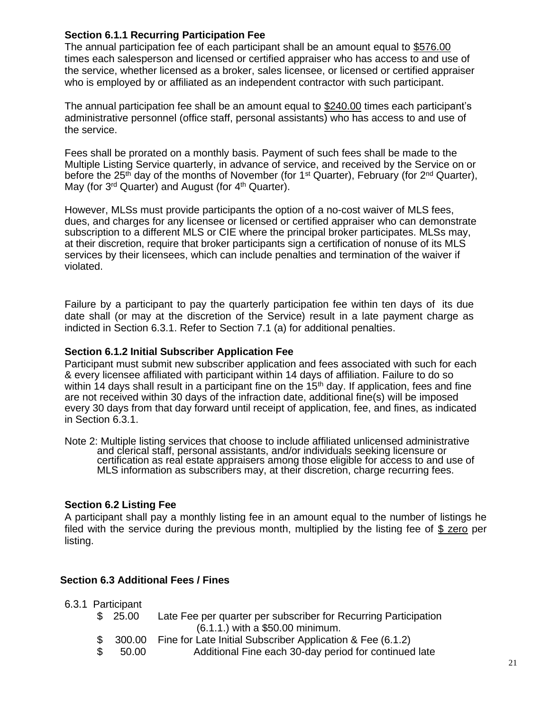### **Section 6.1.1 Recurring Participation Fee**

The annual participation fee of each participant shall be an amount equal to \$576.00 times each salesperson and licensed or certified appraiser who has access to and use of the service, whether licensed as a broker, sales licensee, or licensed or certified appraiser who is employed by or affiliated as an independent contractor with such participant.

The annual participation fee shall be an amount equal to \$240.00 times each participant's administrative personnel (office staff, personal assistants) who has access to and use of the service.

Fees shall be prorated on a monthly basis. Payment of such fees shall be made to the Multiple Listing Service quarterly, in advance of service, and received by the Service on or before the 25<sup>th</sup> day of the months of November (for 1<sup>st</sup> Quarter), February (for 2<sup>nd</sup> Quarter), May (for 3<sup>rd</sup> Quarter) and August (for 4<sup>th</sup> Quarter).

However, MLSs must provide participants the option of a no-cost waiver of MLS fees, dues, and charges for any licensee or licensed or certified appraiser who can demonstrate subscription to a different MLS or CIE where the principal broker participates. MLSs may, at their discretion, require that broker participants sign a certification of nonuse of its MLS services by their licensees, which can include penalties and termination of the waiver if violated.

Failure by a participant to pay the quarterly participation fee within ten days of its due date shall (or may at the discretion of the Service) result in a late payment charge as indicted in Section 6.3.1. Refer to Section 7.1 (a) for additional penalties.

### **Section 6.1.2 Initial Subscriber Application Fee**

Participant must submit new subscriber application and fees associated with such for each & every licensee affiliated with participant within 14 days of affiliation. Failure to do so within 14 days shall result in a participant fine on the 15<sup>th</sup> day. If application, fees and fine are not received within 30 days of the infraction date, additional fine(s) will be imposed every 30 days from that day forward until receipt of application, fee, and fines, as indicated in Section 6.3.1.

Note 2: Multiple listing services that choose to include affiliated unlicensed administrative and clerical staff, personal assistants, and/or individuals seeking licensure or certification as real estate appraisers among those eligible for access to and use of MLS information as subscribers may, at their discretion, charge recurring fees.

### **Section 6.2 Listing Fee**

A participant shall pay a monthly listing fee in an amount equal to the number of listings he filed with the service during the previous month, multiplied by the listing fee of \$ zero per listing.

### **Section 6.3 Additional Fees / Fines**

6.3.1 Participant

- \$ 25.00 Late Fee per quarter per subscriber for Recurring Participation (6.1.1.) with a \$50.00 minimum.
- \$ 300.00 Fine for Late Initial Subscriber Application & Fee (6.1.2)
- \$ 50.00 Additional Fine each 30-day period for continued late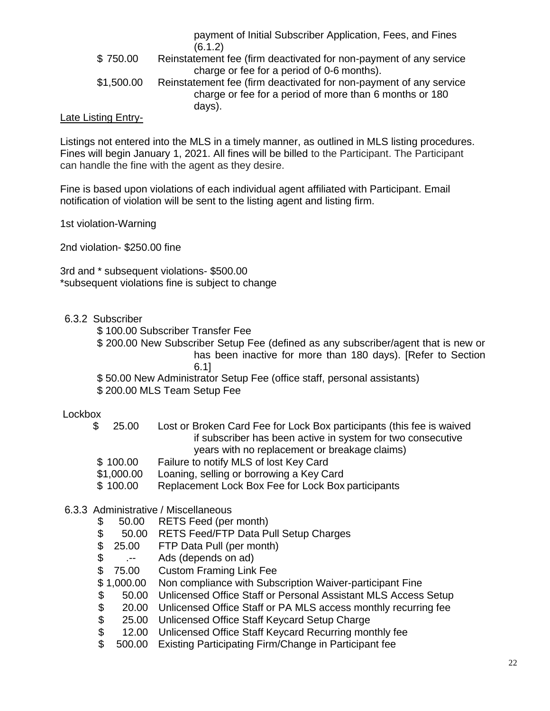payment of Initial Subscriber Application, Fees, and Fines (6.1.2) \$ 750.00 Reinstatement fee (firm deactivated for non-payment of any service charge or fee for a period of 0-6 months). \$1,500.00 Reinstatement fee (firm deactivated for non-payment of any service charge or fee for a period of more than 6 months or 180 days).

#### Late Listing Entry-

Listings not entered into the MLS in a timely manner, as outlined in MLS listing procedures. Fines will begin January 1, 2021. All fines will be billed to the Participant. The Participant can handle the fine with the agent as they desire.

Fine is based upon violations of each individual agent affiliated with Participant. Email notification of violation will be sent to the listing agent and listing firm.

1st violation-Warning

2nd violation- \$250.00 fine

3rd and \* subsequent violations- \$500.00 \*subsequent violations fine is subject to change

#### 6.3.2 Subscriber

- \$ 100.00 Subscriber Transfer Fee
- \$ 200.00 New Subscriber Setup Fee (defined as any subscriber/agent that is new or has been inactive for more than 180 days). [Refer to Section 6.1]
- \$ 50.00 New Administrator Setup Fee (office staff, personal assistants)

\$ 200.00 MLS Team Setup Fee

#### Lockbox

- \$ 25.00 Lost or Broken Card Fee for Lock Box participants (this fee is waived if subscriber has been active in system for two consecutive years with no replacement or breakage claims)
- \$ 100.00 Failure to notify MLS of lost Key Card
- \$1,000.00 Loaning, selling or borrowing a Key Card
- \$ 100.00 Replacement Lock Box Fee for Lock Box participants

#### 6.3.3 Administrative / Miscellaneous

- \$ 50.00 RETS Feed (per month)
- \$ 50.00 RETS Feed/FTP Data Pull Setup Charges<br>\$ 25.00 FTP Data Pull (per month)
- 25.00 FTP Data Pull (per month)
- \$ .-- Ads (depends on ad)
- \$ 75.00 Custom Framing Link Fee
- \$ 1,000.00 Non compliance with Subscription Waiver-participant Fine
- \$ 50.00 Unlicensed Office Staff or Personal Assistant MLS Access Setup<br>\$ 20.00 Unlicensed Office Staff or PA MLS access monthly recurring fee<br>\$ 25.00 Unlicensed Office Staff Keycard Setup Charge<br>\$ 12.00 Unlicensed Office S
- 20.00 Unlicensed Office Staff or PA MLS access monthly recurring fee
- 25.00 Unlicensed Office Staff Keycard Setup Charge
- \$ 12.00 Unlicensed Office Staff Keycard Recurring monthly fee<br>\$ 500.00 Existing Participating Firm/Change in Participant fee
- \$ 500.00 Existing Participating Firm/Change in Participant fee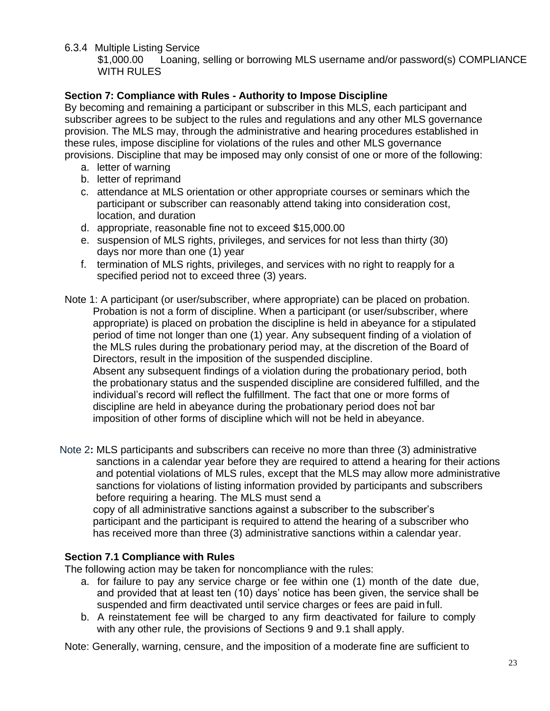6.3.4 Multiple Listing Service

\$1,000.00 Loaning, selling or borrowing MLS username and/or password(s) COMPLIANCE WITH RULES

# **Section 7: Compliance with Rules - Authority to Impose Discipline**

By becoming and remaining a participant or subscriber in this MLS, each participant and subscriber agrees to be subject to the rules and regulations and any other MLS governance provision. The MLS may, through the administrative and hearing procedures established in these rules, impose discipline for violations of the rules and other MLS governance provisions. Discipline that may be imposed may only consist of one or more of the following:

- a. letter of warning
- b. letter of reprimand
- c. attendance at MLS orientation or other appropriate courses or seminars which the participant or subscriber can reasonably attend taking into consideration cost, location, and duration
- d. appropriate, reasonable fine not to exceed \$15,000.00
- e. suspension of MLS rights, privileges, and services for not less than thirty (30) days nor more than one (1) year
- f. termination of MLS rights, privileges, and services with no right to reapply for a specified period not to exceed three (3) years.
- Note 1: A participant (or user/subscriber, where appropriate) can be placed on probation. Probation is not a form of discipline. When a participant (or user/subscriber, where appropriate) is placed on probation the discipline is held in abeyance for a stipulated period of time not longer than one (1) year. Any subsequent finding of a violation of the MLS rules during the probationary period may, at the discretion of the Board of Directors, result in the imposition of the suspended discipline. Absent any subsequent findings of a violation during the probationary period, both the probationary status and the suspended discipline are considered fulfilled, and the individual's record will reflect the fulfillment. The fact that one or more forms of discipline are held in abeyance during the probationary period does not bar imposition of other forms of discipline which will not be held in abeyance.
- Note 2**:** MLS participants and subscribers can receive no more than three (3) administrative sanctions in a calendar year before they are required to attend a hearing for their actions and potential violations of MLS rules, except that the MLS may allow more administrative sanctions for violations of listing information provided by participants and subscribers before requiring a hearing. The MLS must send a copy of all administrative sanctions against a subscriber to the subscriber's

participant and the participant is required to attend the hearing of a subscriber who has received more than three (3) administrative sanctions within a calendar year.

### **Section 7.1 Compliance with Rules**

The following action may be taken for noncompliance with the rules:

- a. for failure to pay any service charge or fee within one (1) month of the date due, and provided that at least ten (10) days' notice has been given, the service shall be suspended and firm deactivated until service charges or fees are paid in full.
- b. A reinstatement fee will be charged to any firm deactivated for failure to comply with any other rule, the provisions of Sections 9 and 9.1 shall apply.

Note: Generally, warning, censure, and the imposition of a moderate fine are sufficient to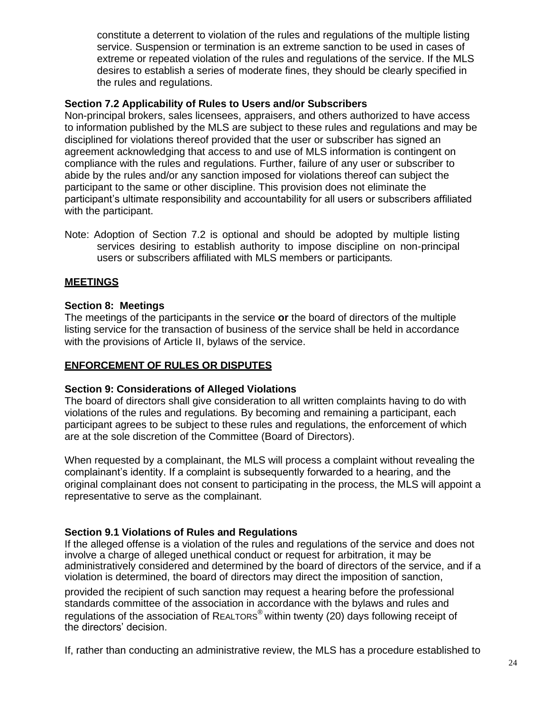constitute a deterrent to violation of the rules and regulations of the multiple listing service. Suspension or termination is an extreme sanction to be used in cases of extreme or repeated violation of the rules and regulations of the service. If the MLS desires to establish a series of moderate fines, they should be clearly specified in the rules and regulations.

### **Section 7.2 Applicability of Rules to Users and/or Subscribers**

Non-principal brokers, sales licensees, appraisers, and others authorized to have access to information published by the MLS are subject to these rules and regulations and may be disciplined for violations thereof provided that the user or subscriber has signed an agreement acknowledging that access to and use of MLS information is contingent on compliance with the rules and regulations. Further, failure of any user or subscriber to abide by the rules and/or any sanction imposed for violations thereof can subject the participant to the same or other discipline. This provision does not eliminate the participant's ultimate responsibility and accountability for all users or subscribers affiliated with the participant.

Note: Adoption of Section 7.2 is optional and should be adopted by multiple listing services desiring to establish authority to impose discipline on non-principal users or subscribers affiliated with MLS members or participants*.*

### **MEETINGS**

#### **Section 8: Meetings**

The meetings of the participants in the service **or** the board of directors of the multiple listing service for the transaction of business of the service shall be held in accordance with the provisions of Article II, bylaws of the service.

#### **ENFORCEMENT OF RULES OR DISPUTES**

#### **Section 9: Considerations of Alleged Violations**

The board of directors shall give consideration to all written complaints having to do with violations of the rules and regulations*.* By becoming and remaining a participant, each participant agrees to be subject to these rules and regulations, the enforcement of which are at the sole discretion of the Committee (Board of Directors).

When requested by a complainant, the MLS will process a complaint without revealing the complainant's identity. If a complaint is subsequently forwarded to a hearing, and the original complainant does not consent to participating in the process, the MLS will appoint a representative to serve as the complainant.

#### **Section 9.1 Violations of Rules and Regulations**

If the alleged offense is a violation of the rules and regulations of the service and does not involve a charge of alleged unethical conduct or request for arbitration, it may be administratively considered and determined by the board of directors of the service, and if a violation is determined, the board of directors may direct the imposition of sanction,

provided the recipient of such sanction may request a hearing before the professional standards committee of the association in accordance with the bylaws and rules and regulations of the association of REALTORS® within twenty (20) days following receipt of the directors' decision.

If, rather than conducting an administrative review, the MLS has a procedure established to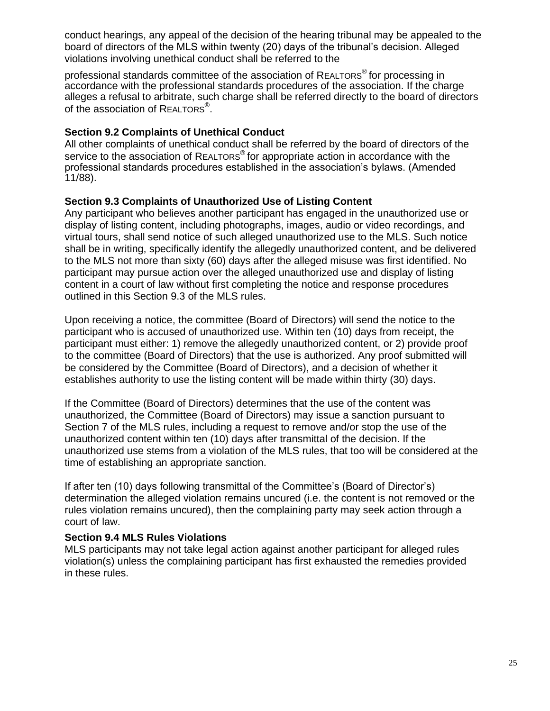conduct hearings, any appeal of the decision of the hearing tribunal may be appealed to the board of directors of the MLS within twenty (20) days of the tribunal's decision. Alleged violations involving unethical conduct shall be referred to the

professional standards committee of the association of REALTORS® for processing in accordance with the professional standards procedures of the association. If the charge alleges a refusal to arbitrate, such charge shall be referred directly to the board of directors of the association of REALTORS<sup>®</sup>.

### **Section 9.2 Complaints of Unethical Conduct**

All other complaints of unethical conduct shall be referred by the board of directors of the service to the association of REALTORS<sup>®</sup> for appropriate action in accordance with the professional standards procedures established in the association's bylaws. (Amended 11/88).

### <span id="page-24-0"></span>**Section 9.3 Complaints of Unauthorized Use of Listing Content**

Any participant who believes another participant has engaged in the unauthorized use or display of listing content, including photographs, images, audio or video recordings, and virtual tours, shall send notice of such alleged unauthorized use to the MLS. Such notice shall be in writing, specifically identify the allegedly unauthorized content, and be delivered to the MLS not more than sixty (60) days after the alleged misuse was first identified. No participant may pursue action over the alleged unauthorized use and display of listing content in a court of law without first completing the notice and response procedures outlined in this Section 9.3 of the MLS rules.

Upon receiving a notice, the committee (Board of Directors) will send the notice to the participant who is accused of unauthorized use. Within ten (10) days from receipt, the participant must either: 1) remove the allegedly unauthorized content, or 2) provide proof to the committee (Board of Directors) that the use is authorized. Any proof submitted will be considered by the Committee (Board of Directors), and a decision of whether it establishes authority to use the listing content will be made within thirty (30) days.

If the Committee (Board of Directors) determines that the use of the content was unauthorized, the Committee (Board of Directors) may issue a sanction pursuant to Section 7 of the MLS rules, including a request to remove and/or stop the use of the unauthorized content within ten (10) days after transmittal of the decision. If the unauthorized use stems from a violation of the MLS rules, that too will be considered at the time of establishing an appropriate sanction.

If after ten (10) days following transmittal of the Committee's (Board of Director's) determination the alleged violation remains uncured (i.e. the content is not removed or the rules violation remains uncured), then the complaining party may seek action through a court of law.

### <span id="page-24-1"></span>**Section 9.4 MLS Rules Violations**

MLS participants may not take legal action against another participant for alleged rules violation(s) unless the complaining participant has first exhausted the remedies provided in these rules.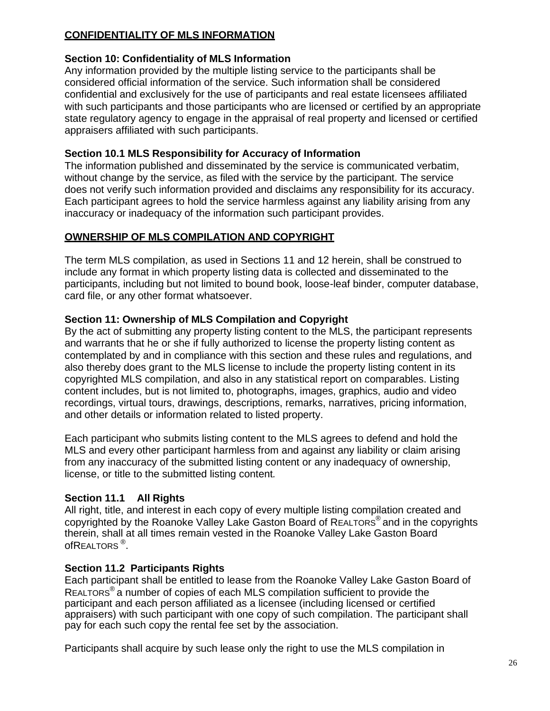# **CONFIDENTIALITY OF MLS INFORMATION**

# **Section 10: Confidentiality of MLS Information**

Any information provided by the multiple listing service to the participants shall be considered official information of the service. Such information shall be considered confidential and exclusively for the use of participants and real estate licensees affiliated with such participants and those participants who are licensed or certified by an appropriate state regulatory agency to engage in the appraisal of real property and licensed or certified appraisers affiliated with such participants.

# **Section 10.1 MLS Responsibility for Accuracy of Information**

The information published and disseminated by the service is communicated verbatim, without change by the service, as filed with the service by the participant. The service does not verify such information provided and disclaims any responsibility for its accuracy. Each participant agrees to hold the service harmless against any liability arising from any inaccuracy or inadequacy of the information such participant provides.

# **OWNERSHIP OF MLS COMPILATION AND COPYRIGHT**

The term MLS compilation, as used in Sections 11 and 12 herein, shall be construed to include any format in which property listing data is collected and disseminated to the participants, including but not limited to bound book, loose-leaf binder, computer database, card file, or any other format whatsoever.

# **Section 11: Ownership of MLS Compilation and Copyright**

By the act of submitting any property listing content to the MLS, the participant represents and warrants that he or she if fully authorized to license the property listing content as contemplated by and in compliance with this section and these rules and regulations, and also thereby does grant to the MLS license to include the property listing content in its copyrighted MLS compilation, and also in any statistical report on comparables. Listing content includes, but is not limited to, photographs, images, graphics, audio and video recordings, virtual tours, drawings, descriptions, remarks, narratives, pricing information, and other details or information related to listed property.

Each participant who submits listing content to the MLS agrees to defend and hold the MLS and every other participant harmless from and against any liability or claim arising from any inaccuracy of the submitted listing content or any inadequacy of ownership, license, or title to the submitted listing content*.*

# **Section 11.1 All Rights**

All right, title, and interest in each copy of every multiple listing compilation created and copyrighted by the Roanoke Valley Lake Gaston Board of REALTORS® and in the copyrights therein, shall at all times remain vested in the Roanoke Valley Lake Gaston Board of $\mathsf R$ ealtors  $^\circledR$ .

# **Section 11.2 Participants Rights**

Each participant shall be entitled to lease from the Roanoke Valley Lake Gaston Board of REALTORS® a number of copies of each MLS compilation sufficient to provide the participant and each person affiliated as a licensee (including licensed or certified appraisers) with such participant with one copy of such compilation. The participant shall pay for each such copy the rental fee set by the association.

Participants shall acquire by such lease only the right to use the MLS compilation in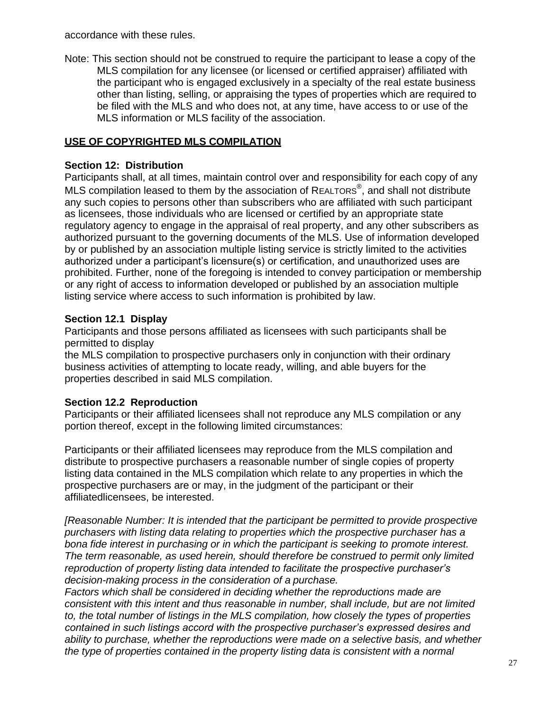accordance with these rules.

Note: This section should not be construed to require the participant to lease a copy of the MLS compilation for any licensee (or licensed or certified appraiser) affiliated with the participant who is engaged exclusively in a specialty of the real estate business other than listing, selling, or appraising the types of properties which are required to be filed with the MLS and who does not, at any time, have access to or use of the MLS information or MLS facility of the association.

# **USE OF COPYRIGHTED MLS COMPILATION**

### **Section 12: Distribution**

Participants shall, at all times, maintain control over and responsibility for each copy of any MLS compilation leased to them by the association of REALTORS $^{\circledast}$ , and shall not distribute any such copies to persons other than subscribers who are affiliated with such participant as licensees, those individuals who are licensed or certified by an appropriate state regulatory agency to engage in the appraisal of real property, and any other subscribers as authorized pursuant to the governing documents of the MLS. Use of information developed by or published by an association multiple listing service is strictly limited to the activities authorized under a participant's licensure(s) or certification, and unauthorized uses are prohibited. Further, none of the foregoing is intended to convey participation or membership or any right of access to information developed or published by an association multiple listing service where access to such information is prohibited by law.

### **Section 12.1 Display**

Participants and those persons affiliated as licensees with such participants shall be permitted to display

the MLS compilation to prospective purchasers only in conjunction with their ordinary business activities of attempting to locate ready, willing, and able buyers for the properties described in said MLS compilation.

### **Section 12.2 Reproduction**

Participants or their affiliated licensees shall not reproduce any MLS compilation or any portion thereof, except in the following limited circumstances:

Participants or their affiliated licensees may reproduce from the MLS compilation and distribute to prospective purchasers a reasonable number of single copies of property listing data contained in the MLS compilation which relate to any properties in which the prospective purchasers are or may, in the judgment of the participant or their affiliatedlicensees, be interested.

*[Reasonable Number: It is intended that the participant be permitted to provide prospective purchasers with listing data relating to properties which the prospective purchaser has a bona fide interest in purchasing or in which the participant is seeking to promote interest. The term reasonable, as used herein, should therefore be construed to permit only limited reproduction of property listing data intended to facilitate the prospective purchaser's decision-making process in the consideration of a purchase.*

*Factors which shall be considered in deciding whether the reproductions made are consistent with this intent and thus reasonable in number, shall include, but are not limited to, the total number of listings in the MLS compilation, how closely the types of properties contained in such listings accord with the prospective purchaser's expressed desires and ability to purchase, whether the reproductions were made on a selective basis, and whether the type of properties contained in the property listing data is consistent with a normal*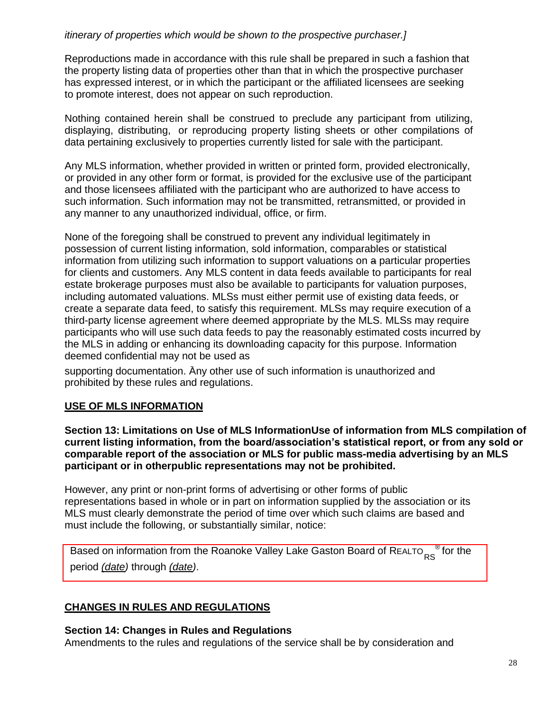### *itinerary of properties which would be shown to the prospective purchaser.]*

Reproductions made in accordance with this rule shall be prepared in such a fashion that the property listing data of properties other than that in which the prospective purchaser has expressed interest, or in which the participant or the affiliated licensees are seeking to promote interest, does not appear on such reproduction.

Nothing contained herein shall be construed to preclude any participant from utilizing, displaying, distributing, or reproducing property listing sheets or other compilations of data pertaining exclusively to properties currently listed for sale with the participant.

Any MLS information, whether provided in written or printed form, provided electronically, or provided in any other form or format, is provided for the exclusive use of the participant and those licensees affiliated with the participant who are authorized to have access to such information. Such information may not be transmitted, retransmitted, or provided in any manner to any unauthorized individual, office, or firm.

None of the foregoing shall be construed to prevent any individual legitimately in possession of current listing information, sold information, comparables or statistical information from utilizing such information to support valuations on a particular properties for clients and customers. Any MLS content in data feeds available to participants for real estate brokerage purposes must also be available to participants for valuation purposes, including automated valuations. MLSs must either permit use of existing data feeds, or create a separate data feed, to satisfy this requirement. MLSs may require execution of a third-party license agreement where deemed appropriate by the MLS. MLSs may require participants who will use such data feeds to pay the reasonably estimated costs incurred by the MLS in adding or enhancing its downloading capacity for this purpose. Information deemed confidential may not be used as

supporting documentation. Any other use of such information is unauthorized and prohibited by these rules and regulations.

### **USE OF MLS INFORMATION**

**Section 13: Limitations on Use of MLS InformationUse of information from MLS compilation of current listing information, from the board/association's statistical report, or from any sold or comparable report of the association or MLS for public mass-media advertising by an MLS participant or in otherpublic representations may not be prohibited.**

However, any print or non-print forms of advertising or other forms of public representations based in whole or in part on information supplied by the association or its MLS must clearly demonstrate the period of time over which such claims are based and must include the following, or substantially similar, notice:

Based on information from the Roanoke Valley Lake Gaston Board of R $\mathtt{ReLU}_{\mathsf{RS}}^{\phantom{\dag}}$  for the period *(date)* through *(date)*.

#### **CHANGES IN RULES AND REGULATIONS**

#### **Section 14: Changes in Rules and Regulations**

Amendments to the rules and regulations of the service shall be by consideration and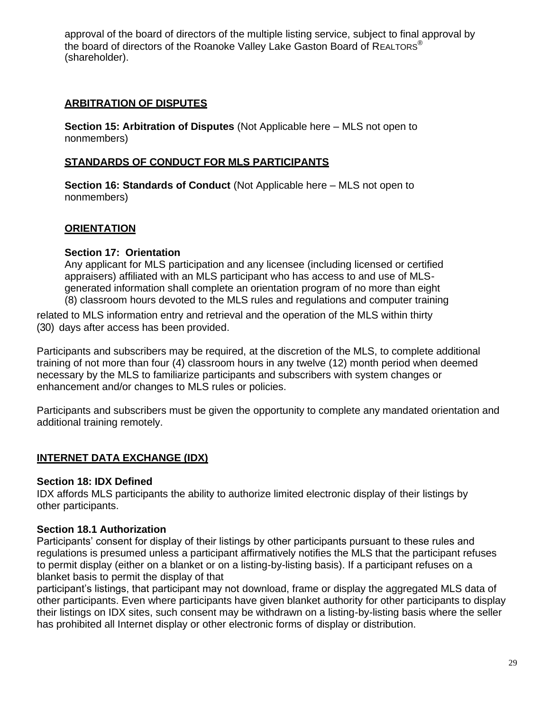approval of the board of directors of the multiple listing service, subject to final approval by the board of directors of the Roanoke Valley Lake Gaston Board of REALTORS<sup>®</sup> (shareholder).

# **ARBITRATION OF DISPUTES**

**Section 15: Arbitration of Disputes** (Not Applicable here – MLS not open to nonmembers)

### **STANDARDS OF CONDUCT FOR MLS PARTICIPANTS**

**Section 16: Standards of Conduct** (Not Applicable here – MLS not open to nonmembers)

# **ORIENTATION**

### **Section 17: Orientation**

Any applicant for MLS participation and any licensee (including licensed or certified appraisers) affiliated with an MLS participant who has access to and use of MLSgenerated information shall complete an orientation program of no more than eight (8) classroom hours devoted to the MLS rules and regulations and computer training

related to MLS information entry and retrieval and the operation of the MLS within thirty (30) days after access has been provided.

Participants and subscribers may be required, at the discretion of the MLS, to complete additional training of not more than four (4) classroom hours in any twelve (12) month period when deemed necessary by the MLS to familiarize participants and subscribers with system changes or enhancement and/or changes to MLS rules or policies.

Participants and subscribers must be given the opportunity to complete any mandated orientation and additional training remotely.

### **INTERNET DATA EXCHANGE (IDX)**

### **Section 18: IDX Defined**

IDX affords MLS participants the ability to authorize limited electronic display of their listings by other participants.

### **Section 18.1 Authorization**

Participants' consent for display of their listings by other participants pursuant to these rules and regulations is presumed unless a participant affirmatively notifies the MLS that the participant refuses to permit display (either on a blanket or on a listing-by-listing basis). If a participant refuses on a blanket basis to permit the display of that

participant's listings, that participant may not download, frame or display the aggregated MLS data of other participants. Even where participants have given blanket authority for other participants to display their listings on IDX sites, such consent may be withdrawn on a listing-by-listing basis where the seller has prohibited all Internet display or other electronic forms of display or distribution.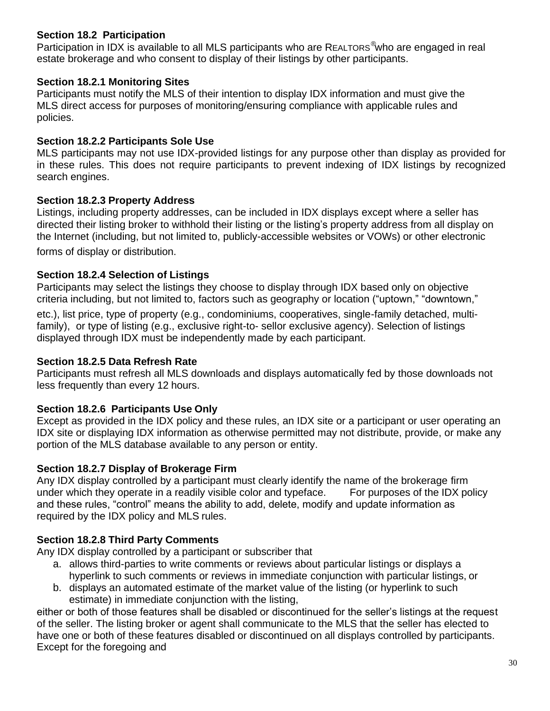# **Section 18.2 Participation**

Participation in IDX is available to all MLS participants who are REALTORS<sup>®</sup>who are engaged in real estate brokerage and who consent to display of their listings by other participants.

# **Section 18.2.1 Monitoring Sites**

Participants must notify the MLS of their intention to display IDX information and must give the MLS direct access for purposes of monitoring/ensuring compliance with applicable rules and policies.

## **Section 18.2.2 Participants Sole Use**

MLS participants may not use IDX-provided listings for any purpose other than display as provided for in these rules. This does not require participants to prevent indexing of IDX listings by recognized search engines.

# **Section 18.2.3 Property Address**

Listings, including property addresses, can be included in IDX displays except where a seller has directed their listing broker to withhold their listing or the listing's property address from all display on the Internet (including, but not limited to, publicly-accessible websites or VOWs) or other electronic

forms of display or distribution.

# <span id="page-29-0"></span>**Section 18.2.4 Selection of Listings**

Participants may select the listings they choose to display through IDX based only on objective criteria including, but not limited to, factors such as geography or location ("uptown," "downtown,"

etc.), list price, type of property (e.g., condominiums, cooperatives, single-family detached, multifamily), or type of listing (e.g., exclusive right-to- sellor exclusive agency). Selection of listings displayed through IDX must be independently made by each participant.

## <span id="page-29-1"></span>**Section 18.2.5 Data Refresh Rate**

Participants must refresh all MLS downloads and displays automatically fed by those downloads not less frequently than every 12 hours.

# <span id="page-29-2"></span>**Section 18.2.6 Participants Use Only**

Except as provided in the IDX policy and these rules, an IDX site or a participant or user operating an IDX site or displaying IDX information as otherwise permitted may not distribute, provide, or make any portion of the MLS database available to any person or entity.

### <span id="page-29-3"></span>**Section 18.2.7 Display of Brokerage Firm**

Any IDX display controlled by a participant must clearly identify the name of the brokerage firm under which they operate in a readily visible color and typeface. For purposes of the IDX policy and these rules, "control" means the ability to add, delete, modify and update information as required by the IDX policy and MLS rules.

# <span id="page-29-4"></span>**Section 18.2.8 Third Party Comments**

Any IDX display controlled by a participant or subscriber that

- a. allows third-parties to write comments or reviews about particular listings or displays a hyperlink to such comments or reviews in immediate conjunction with particular listings, or
- b. displays an automated estimate of the market value of the listing (or hyperlink to such estimate) in immediate conjunction with the listing,

either or both of those features shall be disabled or discontinued for the seller's listings at the request of the seller. The listing broker or agent shall communicate to the MLS that the seller has elected to have one or both of these features disabled or discontinued on all displays controlled by participants. Except for the foregoing and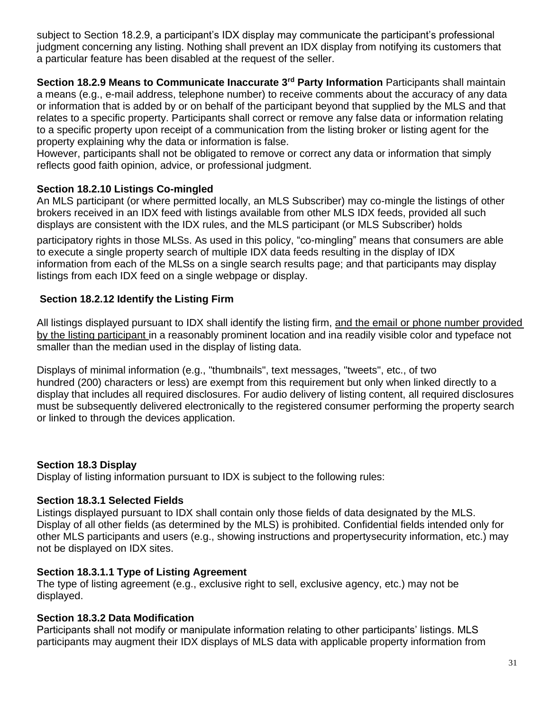subject to Section 18.2.9, a participant's IDX display may communicate the participant's professional judgment concerning any listing. Nothing shall prevent an IDX display from notifying its customers that a particular feature has been disabled at the request of the seller.

**Section 18.2.9 Means to Communicate Inaccurate 3rd Party Information** Participants shall maintain a means (e.g., e-mail address, telephone number) to receive comments about the accuracy of any data or information that is added by or on behalf of the participant beyond that supplied by the MLS and that relates to a specific property. Participants shall correct or remove any false data or information relating to a specific property upon receipt of a communication from the listing broker or listing agent for the property explaining why the data or information is false.

However, participants shall not be obligated to remove or correct any data or information that simply reflects good faith opinion, advice, or professional judgment.

# <span id="page-30-0"></span>**Section 18.2.10 Listings Co-mingled**

An MLS participant (or where permitted locally, an MLS Subscriber) may co-mingle the listings of other brokers received in an IDX feed with listings available from other MLS IDX feeds, provided all such displays are consistent with the IDX rules, and the MLS participant (or MLS Subscriber) holds

participatory rights in those MLSs. As used in this policy, "co-mingling" means that consumers are able to execute a single property search of multiple IDX data feeds resulting in the display of IDX information from each of the MLSs on a single search results page; and that participants may display listings from each IDX feed on a single webpage or display.

# <span id="page-30-1"></span>**Section 18.2.12 Identify the Listing Firm**

All listings displayed pursuant to IDX shall identify the listing firm, and the email or phone number provided by the listing participant in a reasonably prominent location and ina readily visible color and typeface not smaller than the median used in the display of listing data.

Displays of minimal information (e.g., "thumbnails", text messages, "tweets", etc., of two hundred (200) characters or less) are exempt from this requirement but only when linked directly to a display that includes all required disclosures. For audio delivery of listing content, all required disclosures must be subsequently delivered electronically to the registered consumer performing the property search or linked to through the devices application.

### <span id="page-30-2"></span>**Section 18.3 Display**

Display of listing information pursuant to IDX is subject to the following rules:

### <span id="page-30-3"></span>**Section 18.3.1 Selected Fields**

Listings displayed pursuant to IDX shall contain only those fields of data designated by the MLS. Display of all other fields (as determined by the MLS) is prohibited. Confidential fields intended only for other MLS participants and users (e.g., showing instructions and propertysecurity information, etc.) may not be displayed on IDX sites.

# <span id="page-30-4"></span>**Section 18.3.1.1 Type of Listing Agreement**

The type of listing agreement (e.g., exclusive right to sell, exclusive agency, etc.) may not be displayed.

### <span id="page-30-5"></span>**Section 18.3.2 Data Modification**

Participants shall not modify or manipulate information relating to other participants' listings. MLS participants may augment their IDX displays of MLS data with applicable property information from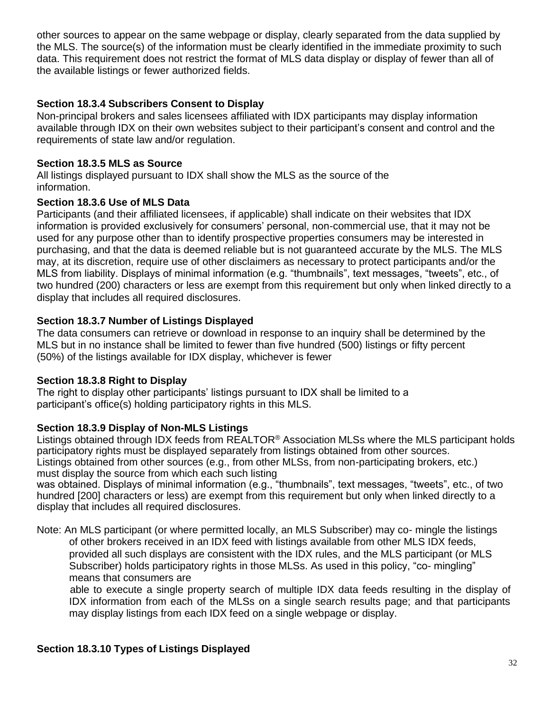other sources to appear on the same webpage or display, clearly separated from the data supplied by the MLS. The source(s) of the information must be clearly identified in the immediate proximity to such data. This requirement does not restrict the format of MLS data display or display of fewer than all of the available listings or fewer authorized fields.

# <span id="page-31-0"></span>**Section 18.3.4 Subscribers Consent to Display**

Non-principal brokers and sales licensees affiliated with IDX participants may display information available through IDX on their own websites subject to their participant's consent and control and the requirements of state law and/or regulation.

## <span id="page-31-1"></span>**Section 18.3.5 MLS as Source**

All listings displayed pursuant to IDX shall show the MLS as the source of the information.

### <span id="page-31-2"></span>**Section 18.3.6 Use of MLS Data**

Participants (and their affiliated licensees, if applicable) shall indicate on their websites that IDX information is provided exclusively for consumers' personal, non-commercial use, that it may not be used for any purpose other than to identify prospective properties consumers may be interested in purchasing, and that the data is deemed reliable but is not guaranteed accurate by the MLS. The MLS may, at its discretion, require use of other disclaimers as necessary to protect participants and/or the MLS from liability. Displays of minimal information (e.g. "thumbnails", text messages, "tweets", etc., of two hundred (200) characters or less are exempt from this requirement but only when linked directly to a display that includes all required disclosures.

# <span id="page-31-3"></span>**Section 18.3.7 Number of Listings Displayed**

The data consumers can retrieve or download in response to an inquiry shall be determined by the MLS but in no instance shall be limited to fewer than five hundred (500) listings or fifty percent (50%) of the listings available for IDX display, whichever is fewer

### <span id="page-31-4"></span>**Section 18.3.8 Right to Display**

The right to display other participants' listings pursuant to IDX shall be limited to a participant's office(s) holding participatory rights in this MLS.

### <span id="page-31-5"></span>**Section 18.3.9 Display of Non-MLS Listings**

Listings obtained through IDX feeds from REALTOR® Association MLSs where the MLS participant holds participatory rights must be displayed separately from listings obtained from other sources. Listings obtained from other sources (e.g., from other MLSs, from non-participating brokers, etc.) must display the source from which each such listing

was obtained. Displays of minimal information (e.g., "thumbnails", text messages, "tweets", etc., of two hundred [200] characters or less) are exempt from this requirement but only when linked directly to a display that includes all required disclosures.

Note: An MLS participant (or where permitted locally, an MLS Subscriber) may co- mingle the listings of other brokers received in an IDX feed with listings available from other MLS IDX feeds, provided all such displays are consistent with the IDX rules, and the MLS participant (or MLS Subscriber) holds participatory rights in those MLSs. As used in this policy, "co- mingling" means that consumers are

able to execute a single property search of multiple IDX data feeds resulting in the display of IDX information from each of the MLSs on a single search results page; and that participants may display listings from each IDX feed on a single webpage or display.

### <span id="page-31-6"></span>**Section 18.3.10 Types of Listings Displayed**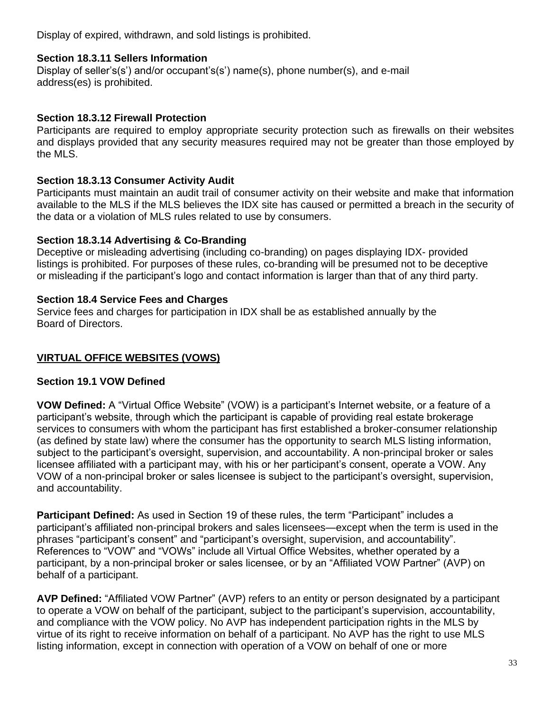Display of expired, withdrawn, and sold listings is prohibited.

# <span id="page-32-0"></span>**Section 18.3.11 Sellers Information**

Display of seller's(s') and/or occupant's(s') name(s), phone number(s), and e-mail address(es) is prohibited.

# <span id="page-32-1"></span>**Section 18.3.12 Firewall Protection**

Participants are required to employ appropriate security protection such as firewalls on their websites and displays provided that any security measures required may not be greater than those employed by the MLS.

# <span id="page-32-2"></span>**Section 18.3.13 Consumer Activity Audit**

Participants must maintain an audit trail of consumer activity on their website and make that information available to the MLS if the MLS believes the IDX site has caused or permitted a breach in the security of the data or a violation of MLS rules related to use by consumers.

# <span id="page-32-3"></span>**Section 18.3.14 Advertising & Co-Branding**

Deceptive or misleading advertising (including co-branding) on pages displaying IDX- provided listings is prohibited. For purposes of these rules, co-branding will be presumed not to be deceptive or misleading if the participant's logo and contact information is larger than that of any third party.

# <span id="page-32-4"></span>**Section 18.4 Service Fees and Charges**

Service fees and charges for participation in IDX shall be as established annually by the Board of Directors.

# <span id="page-32-5"></span>**VIRTUAL OFFICE WEBSITES (VOWS)**

### <span id="page-32-6"></span>**Section 19.1 VOW Defined**

**VOW Defined:** A "Virtual Office Website" (VOW) is a participant's Internet website, or a feature of a participant's website, through which the participant is capable of providing real estate brokerage services to consumers with whom the participant has first established a broker-consumer relationship (as defined by state law) where the consumer has the opportunity to search MLS listing information, subject to the participant's oversight, supervision, and accountability. A non-principal broker or sales licensee affiliated with a participant may, with his or her participant's consent, operate a VOW. Any VOW of a non-principal broker or sales licensee is subject to the participant's oversight, supervision, and accountability.

**Participant Defined:** As used in Section 19 of these rules, the term "Participant" includes a participant's affiliated non-principal brokers and sales licensees—except when the term is used in the phrases "participant's consent" and "participant's oversight, supervision, and accountability". References to "VOW" and "VOWs" include all Virtual Office Websites, whether operated by a participant, by a non-principal broker or sales licensee, or by an "Affiliated VOW Partner" (AVP) on behalf of a participant.

**AVP Defined:** "Affiliated VOW Partner" (AVP) refers to an entity or person designated by a participant to operate a VOW on behalf of the participant, subject to the participant's supervision, accountability, and compliance with the VOW policy. No AVP has independent participation rights in the MLS by virtue of its right to receive information on behalf of a participant. No AVP has the right to use MLS listing information, except in connection with operation of a VOW on behalf of one or more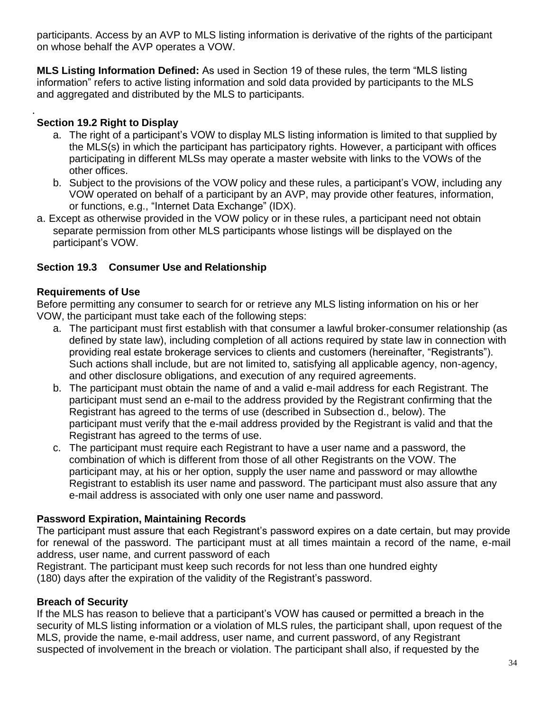participants. Access by an AVP to MLS listing information is derivative of the rights of the participant on whose behalf the AVP operates a VOW.

**MLS Listing Information Defined:** As used in Section 19 of these rules, the term "MLS listing information" refers to active listing information and sold data provided by participants to the MLS and aggregated and distributed by the MLS to participants.

# <span id="page-33-0"></span>**Section 19.2 Right to Display**

.

- a. The right of a participant's VOW to display MLS listing information is limited to that supplied by the MLS(s) in which the participant has participatory rights. However, a participant with offices participating in different MLSs may operate a master website with links to the VOWs of the other offices.
- b. Subject to the provisions of the VOW policy and these rules, a participant's VOW, including any VOW operated on behalf of a participant by an AVP, may provide other features, information, or functions, e.g., "Internet Data Exchange" (IDX).
- a. Except as otherwise provided in the VOW policy or in these rules, a participant need not obtain separate permission from other MLS participants whose listings will be displayed on the participant's VOW.

# **Section 19.3 Consumer Use and Relationship**

# **Requirements of Use**

Before permitting any consumer to search for or retrieve any MLS listing information on his or her VOW, the participant must take each of the following steps:

- a. The participant must first establish with that consumer a lawful broker-consumer relationship (as defined by state law), including completion of all actions required by state law in connection with providing real estate brokerage services to clients and customers (hereinafter, "Registrants"). Such actions shall include, but are not limited to, satisfying all applicable agency, non-agency, and other disclosure obligations, and execution of any required agreements.
- b. The participant must obtain the name of and a valid e-mail address for each Registrant. The participant must send an e-mail to the address provided by the Registrant confirming that the Registrant has agreed to the terms of use (described in Subsection d., below). The participant must verify that the e-mail address provided by the Registrant is valid and that the Registrant has agreed to the terms of use.
- c. The participant must require each Registrant to have a user name and a password, the combination of which is different from those of all other Registrants on the VOW. The participant may, at his or her option, supply the user name and password or may allowthe Registrant to establish its user name and password. The participant must also assure that any e-mail address is associated with only one user name and password.

# <span id="page-33-1"></span>**Password Expiration, Maintaining Records**

The participant must assure that each Registrant's password expires on a date certain, but may provide for renewal of the password. The participant must at all times maintain a record of the name, e-mail address, user name, and current password of each

Registrant. The participant must keep such records for not less than one hundred eighty (180) days after the expiration of the validity of the Registrant's password.

# <span id="page-33-2"></span>**Breach of Security**

If the MLS has reason to believe that a participant's VOW has caused or permitted a breach in the security of MLS listing information or a violation of MLS rules, the participant shall, upon request of the MLS, provide the name, e-mail address, user name, and current password, of any Registrant suspected of involvement in the breach or violation. The participant shall also, if requested by the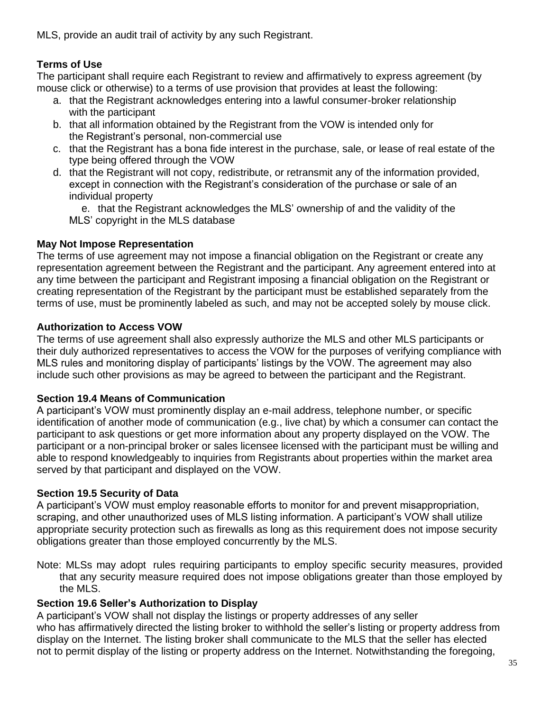<span id="page-34-0"></span>MLS, provide an audit trail of activity by any such Registrant.

# **Terms of Use**

The participant shall require each Registrant to review and affirmatively to express agreement (by mouse click or otherwise) to a terms of use provision that provides at least the following:

- a. that the Registrant acknowledges entering into a lawful consumer-broker relationship with the participant
- b. that all information obtained by the Registrant from the VOW is intended only for the Registrant's personal, non-commercial use
- c. that the Registrant has a bona fide interest in the purchase, sale, or lease of real estate of the type being offered through the VOW
- d. that the Registrant will not copy, redistribute, or retransmit any of the information provided, except in connection with the Registrant's consideration of the purchase or sale of an individual property

e. that the Registrant acknowledges the MLS' ownership of and the validity of the MLS' copyright in the MLS database

# <span id="page-34-1"></span>**May Not Impose Representation**

The terms of use agreement may not impose a financial obligation on the Registrant or create any representation agreement between the Registrant and the participant. Any agreement entered into at any time between the participant and Registrant imposing a financial obligation on the Registrant or creating representation of the Registrant by the participant must be established separately from the terms of use, must be prominently labeled as such, and may not be accepted solely by mouse click.

# <span id="page-34-2"></span>**Authorization to Access VOW**

The terms of use agreement shall also expressly authorize the MLS and other MLS participants or their duly authorized representatives to access the VOW for the purposes of verifying compliance with MLS rules and monitoring display of participants' listings by the VOW. The agreement may also include such other provisions as may be agreed to between the participant and the Registrant.

# <span id="page-34-3"></span>**Section 19.4 Means of Communication**

A participant's VOW must prominently display an e-mail address, telephone number, or specific identification of another mode of communication (e.g., live chat) by which a consumer can contact the participant to ask questions or get more information about any property displayed on the VOW. The participant or a non-principal broker or sales licensee licensed with the participant must be willing and able to respond knowledgeably to inquiries from Registrants about properties within the market area served by that participant and displayed on the VOW.

# <span id="page-34-4"></span>**Section 19.5 Security of Data**

A participant's VOW must employ reasonable efforts to monitor for and prevent misappropriation, scraping, and other unauthorized uses of MLS listing information. A participant's VOW shall utilize appropriate security protection such as firewalls as long as this requirement does not impose security obligations greater than those employed concurrently by the MLS.

Note: MLSs may adopt rules requiring participants to employ specific security measures, provided that any security measure required does not impose obligations greater than those employed by the MLS.

# <span id="page-34-5"></span>**Section 19.6 Seller's Authorization to Display**

A participant's VOW shall not display the listings or property addresses of any seller who has affirmatively directed the listing broker to withhold the seller's listing or property address from display on the Internet. The listing broker shall communicate to the MLS that the seller has elected not to permit display of the listing or property address on the Internet. Notwithstanding the foregoing,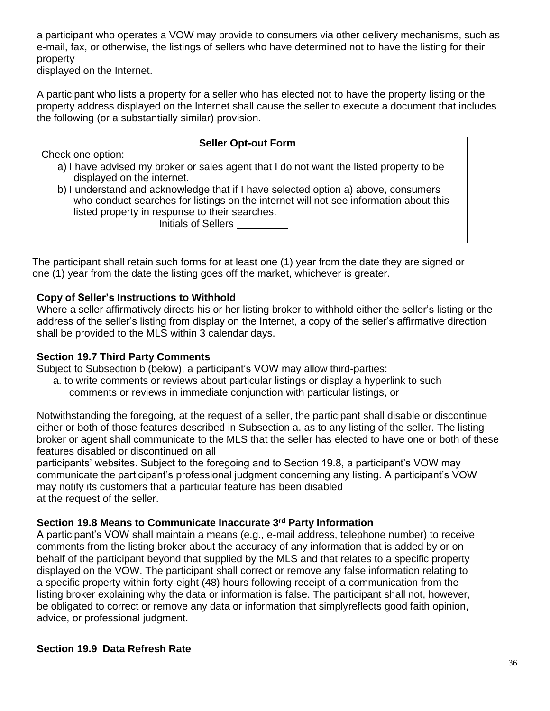a participant who operates a VOW may provide to consumers via other delivery mechanisms, such as e-mail, fax, or otherwise, the listings of sellers who have determined not to have the listing for their property

displayed on the Internet.

A participant who lists a property for a seller who has elected not to have the property listing or the property address displayed on the Internet shall cause the seller to execute a document that includes the following (or a substantially similar) provision.

| <b>Seller Opt-out Form</b>                                                                                                                                                                                                                           |
|------------------------------------------------------------------------------------------------------------------------------------------------------------------------------------------------------------------------------------------------------|
| Check one option:                                                                                                                                                                                                                                    |
| a) I have advised my broker or sales agent that I do not want the listed property to be<br>displayed on the internet.                                                                                                                                |
| b) I understand and acknowledge that if I have selected option a) above, consumers<br>who conduct searches for listings on the internet will not see information about this<br>listed property in response to their searches.<br>Initials of Sellers |
|                                                                                                                                                                                                                                                      |

The participant shall retain such forms for at least one (1) year from the date they are signed or one (1) year from the date the listing goes off the market, whichever is greater.

### <span id="page-35-0"></span>**Copy of Seller's Instructions to Withhold**

Where a seller affirmatively directs his or her listing broker to withhold either the seller's listing or the address of the seller's listing from display on the Internet, a copy of the seller's affirmative direction shall be provided to the MLS within 3 calendar days.

### <span id="page-35-1"></span>**Section 19.7 Third Party Comments**

Subject to Subsection b (below), a participant's VOW may allow third-parties:

a. to write comments or reviews about particular listings or display a hyperlink to such comments or reviews in immediate conjunction with particular listings, or

Notwithstanding the foregoing, at the request of a seller, the participant shall disable or discontinue either or both of those features described in Subsection a. as to any listing of the seller. The listing broker or agent shall communicate to the MLS that the seller has elected to have one or both of these features disabled or discontinued on all

participants' websites. Subject to the foregoing and to Section 19.8, a participant's VOW may communicate the participant's professional judgment concerning any listing. A participant's VOW may notify its customers that a particular feature has been disabled at the request of the seller.

### <span id="page-35-2"></span>**Section 19.8 Means to Communicate Inaccurate 3 rd Party Information**

A participant's VOW shall maintain a means (e.g., e-mail address, telephone number) to receive comments from the listing broker about the accuracy of any information that is added by or on behalf of the participant beyond that supplied by the MLS and that relates to a specific property displayed on the VOW. The participant shall correct or remove any false information relating to a specific property within forty-eight (48) hours following receipt of a communication from the listing broker explaining why the data or information is false. The participant shall not, however, be obligated to correct or remove any data or information that simplyreflects good faith opinion, advice, or professional judgment.

#### <span id="page-35-3"></span>**Section 19.9 Data Refresh Rate**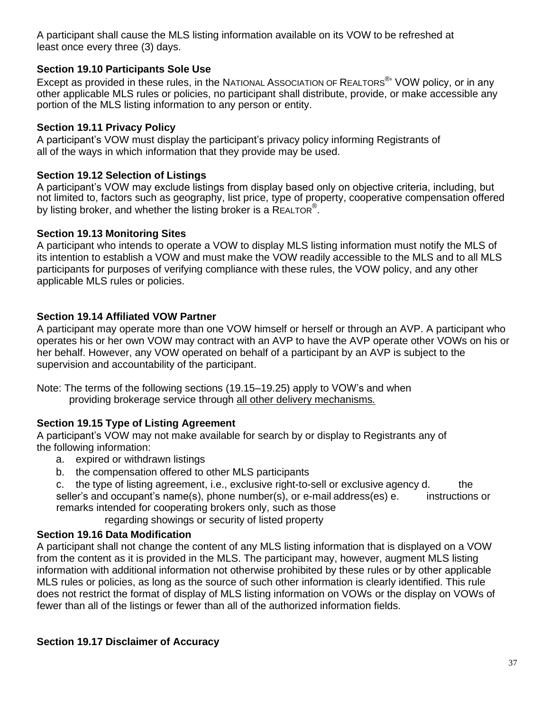A participant shall cause the MLS listing information available on its VOW to be refreshed at least once every three (3) days.

# <span id="page-36-0"></span>**Section 19.10 Participants Sole Use**

Except as provided in these rules, in the NATIONAL AssocIATION OF REALTORS<sup>®</sup>' VOW policy, or in any other applicable MLS rules or policies, no participant shall distribute, provide, or make accessible any portion of the MLS listing information to any person or entity.

# <span id="page-36-1"></span>**Section 19.11 Privacy Policy**

A participant's VOW must display the participant's privacy policy informing Registrants of all of the ways in which information that they provide may be used.

# <span id="page-36-2"></span>**Section 19.12 Selection of Listings**

A participant's VOW may exclude listings from display based only on objective criteria, including, but not limited to, factors such as geography, list price, type of property, cooperative compensation offered by listing broker, and whether the listing broker is a REALTOR<sup>®</sup>.

# <span id="page-36-3"></span>**Section 19.13 Monitoring Sites**

A participant who intends to operate a VOW to display MLS listing information must notify the MLS of its intention to establish a VOW and must make the VOW readily accessible to the MLS and to all MLS participants for purposes of verifying compliance with these rules, the VOW policy, and any other applicable MLS rules or policies.

# <span id="page-36-4"></span>**Section 19.14 Affiliated VOW Partner**

A participant may operate more than one VOW himself or herself or through an AVP. A participant who operates his or her own VOW may contract with an AVP to have the AVP operate other VOWs on his or her behalf. However, any VOW operated on behalf of a participant by an AVP is subject to the supervision and accountability of the participant.

Note: The terms of the following sections (19.15–19.25) apply to VOW's and when providing brokerage service through all other delivery mechanisms*.*

# <span id="page-36-5"></span>**Section 19.15 Type of Listing Agreement**

A participant's VOW may not make available for search by or display to Registrants any of the following information:

- a. expired or withdrawn listings
- b. the compensation offered to other MLS participants
- c. the type of listing agreement, i.e., exclusive right-to-sell or exclusive agency d. the seller's and occupant's name(s), phone number(s), or e-mail address(es) e. instructions or remarks intended for cooperating brokers only, such as those

regarding showings or security of listed property

# <span id="page-36-6"></span>**Section 19.16 Data Modification**

A participant shall not change the content of any MLS listing information that is displayed on a VOW from the content as it is provided in the MLS. The participant may, however, augment MLS listing information with additional information not otherwise prohibited by these rules or by other applicable MLS rules or policies, as long as the source of such other information is clearly identified. This rule does not restrict the format of display of MLS listing information on VOWs or the display on VOWs of fewer than all of the listings or fewer than all of the authorized information fields.

# <span id="page-36-7"></span>**Section 19.17 Disclaimer of Accuracy**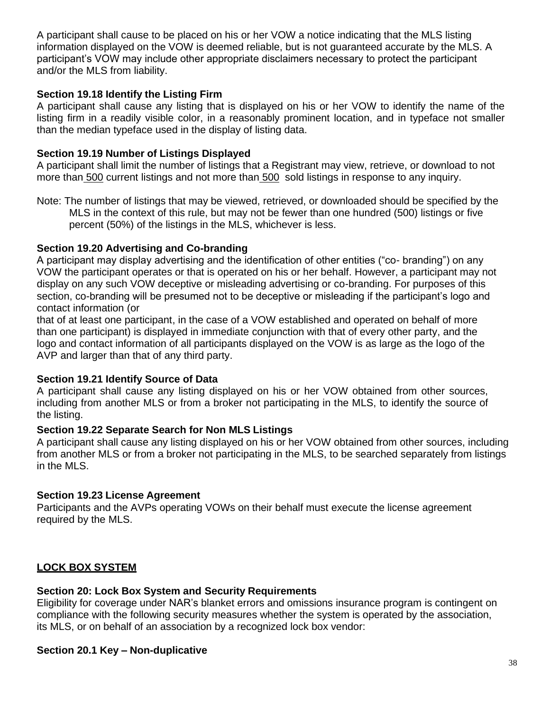A participant shall cause to be placed on his or her VOW a notice indicating that the MLS listing information displayed on the VOW is deemed reliable, but is not guaranteed accurate by the MLS. A participant's VOW may include other appropriate disclaimers necessary to protect the participant and/or the MLS from liability.

## <span id="page-37-0"></span>**Section 19.18 Identify the Listing Firm**

A participant shall cause any listing that is displayed on his or her VOW to identify the name of the listing firm in a readily visible color, in a reasonably prominent location, and in typeface not smaller than the median typeface used in the display of listing data.

# <span id="page-37-1"></span>**Section 19.19 Number of Listings Displayed**

A participant shall limit the number of listings that a Registrant may view, retrieve, or download to not more than 500 current listings and not more than 500 sold listings in response to any inquiry.

Note: The number of listings that may be viewed, retrieved, or downloaded should be specified by the MLS in the context of this rule, but may not be fewer than one hundred (500) listings or five percent (50%) of the listings in the MLS, whichever is less.

# <span id="page-37-2"></span>**Section 19.20 Advertising and Co-branding**

A participant may display advertising and the identification of other entities ("co- branding") on any VOW the participant operates or that is operated on his or her behalf. However, a participant may not display on any such VOW deceptive or misleading advertising or co-branding. For purposes of this section, co-branding will be presumed not to be deceptive or misleading if the participant's logo and contact information (or

that of at least one participant, in the case of a VOW established and operated on behalf of more than one participant) is displayed in immediate conjunction with that of every other party, and the logo and contact information of all participants displayed on the VOW is as large as the logo of the AVP and larger than that of any third party.

### <span id="page-37-3"></span>**Section 19.21 Identify Source of Data**

A participant shall cause any listing displayed on his or her VOW obtained from other sources, including from another MLS or from a broker not participating in the MLS, to identify the source of the listing.

### <span id="page-37-4"></span>**Section 19.22 Separate Search for Non MLS Listings**

A participant shall cause any listing displayed on his or her VOW obtained from other sources, including from another MLS or from a broker not participating in the MLS, to be searched separately from listings in the MLS.

# <span id="page-37-5"></span>**Section 19.23 License Agreement**

Participants and the AVPs operating VOWs on their behalf must execute the license agreement required by the MLS.

# <span id="page-37-6"></span>**LOCK BOX SYSTEM**

# <span id="page-37-7"></span>**Section 20: Lock Box System and Security Requirements**

Eligibility for coverage under NAR's blanket errors and omissions insurance program is contingent on compliance with the following security measures whether the system is operated by the association, its MLS, or on behalf of an association by a recognized lock box vendor:

# <span id="page-37-8"></span>**Section 20.1 Key – Non-duplicative**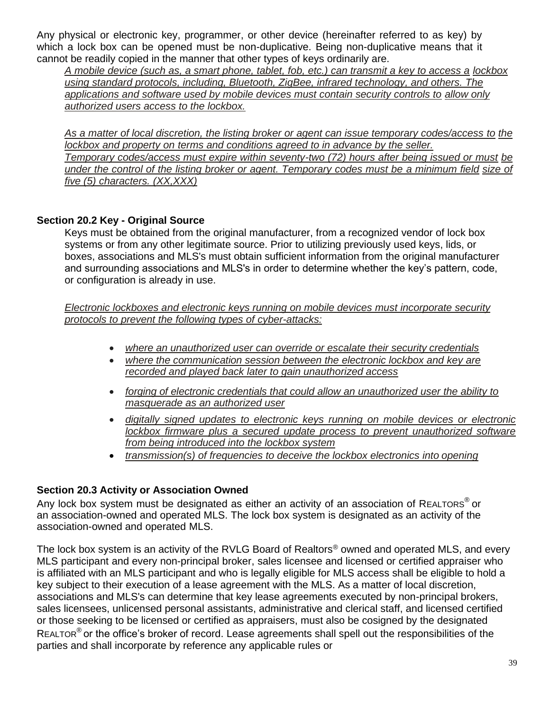Any physical or electronic key, programmer, or other device (hereinafter referred to as key) by which a lock box can be opened must be non-duplicative. Being non-duplicative means that it cannot be readily copied in the manner that other types of keys ordinarily are.

*A mobile device (such as, a smart phone, tablet, fob, etc.) can transmit a key to access a lockbox using standard protocols, including, Bluetooth, ZigBee, infrared technology, and others. The applications and software used by mobile devices must contain security controls to allow only authorized users access to the lockbox.*

*As a matter of local discretion, the listing broker or agent can issue temporary codes/access to the lockbox and property on terms and conditions agreed to in advance by the seller. Temporary codes/access must expire within seventy-two (72) hours after being issued or must be under the control of the listing broker or agent. Temporary codes must be a minimum field size of five (5) characters. (XX,XXX)*

# <span id="page-38-0"></span>**Section 20.2 Key - Original Source**

Keys must be obtained from the original manufacturer, from a recognized vendor of lock box systems or from any other legitimate source. Prior to utilizing previously used keys, lids, or boxes, associations and MLS's must obtain sufficient information from the original manufacturer and surrounding associations and MLS's in order to determine whether the key's pattern, code, or configuration is already in use.

*Electronic lockboxes and electronic keys running on mobile devices must incorporate security protocols to prevent the following types of cyber-attacks:*

- *where an unauthorized user can override or escalate their security credentials*
- *where the communication session between the electronic lockbox and key are recorded and played back later to gain unauthorized access*
- *forging of electronic credentials that could allow an unauthorized user the ability to masquerade as an authorized user*
- *digitally signed updates to electronic keys running on mobile devices or electronic lockbox firmware plus a secured update process to prevent unauthorized software from being introduced into the lockbox system*
- *transmission(s) of frequencies to deceive the lockbox electronics into opening*

# <span id="page-38-1"></span>**Section 20.3 Activity or Association Owned**

Any lock box system must be designated as either an activity of an association of REALTORS<sup>®</sup> or an association-owned and operated MLS. The lock box system is designated as an activity of the association-owned and operated MLS.

The lock box system is an activity of the RVLG Board of Realtors<sup>®</sup> owned and operated MLS, and every MLS participant and every non-principal broker, sales licensee and licensed or certified appraiser who is affiliated with an MLS participant and who is legally eligible for MLS access shall be eligible to hold a key subject to their execution of a lease agreement with the MLS. As a matter of local discretion, associations and MLS's can determine that key lease agreements executed by non-principal brokers, sales licensees, unlicensed personal assistants, administrative and clerical staff, and licensed certified or those seeking to be licensed or certified as appraisers, must also be cosigned by the designated REALTOR<sup>®</sup> or the office's broker of record. Lease agreements shall spell out the responsibilities of the parties and shall incorporate by reference any applicable rules or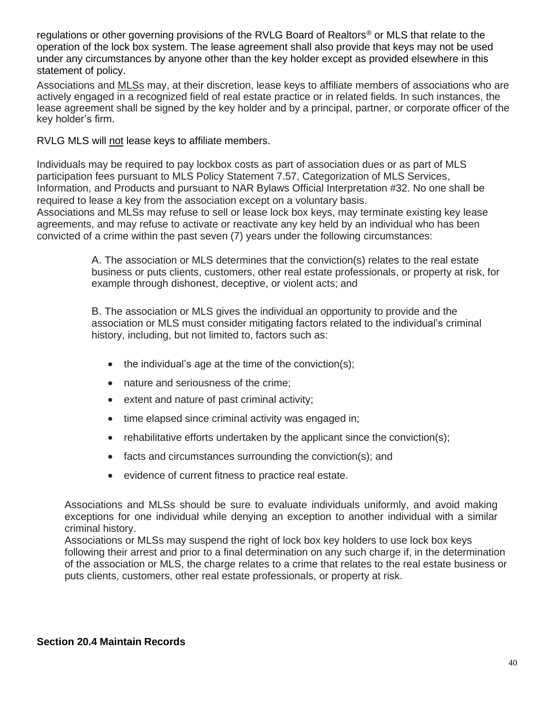regulations or other governing provisions of the RVLG Board of Realtors® or MLS that relate to the operation of the lock box system. The lease agreement shall also provide that keys may not be used under any circumstances by anyone other than the key holder except as provided elsewhere in this statement of policy.

Associations and MLSs may, at their discretion, lease keys to affiliate members of associations who are actively engaged in a recognized field of real estate practice or in related fields. In such instances, the lease agreement shall be signed by the key holder and by a principal, partner, or corporate officer of the key holder's firm.

RVLG MLS will not lease keys to affiliate members.

Individuals may be required to pay lockbox costs as part of association dues or as part of MLS participation fees pursuant to MLS Policy Statement 7.57, Categorization of MLS Services, Information, and Products and pursuant to NAR Bylaws Official Interpretation #32. No one shall be required to lease a key from the association except on a voluntary basis.

Associations and MLSs may refuse to sell or lease lock box keys, may terminate existing key lease agreements, and may refuse to activate or reactivate any key held by an individual who has been convicted of a crime within the past seven (7) years under the following circumstances:

> A. The association or MLS determines that the conviction(s) relates to the real estate business or puts clients, customers, other real estate professionals, or property at risk, for example through dishonest, deceptive, or violent acts; and

B. The association or MLS gives the individual an opportunity to provide and the association or MLS must consider mitigating factors related to the individual's criminal history, including, but not limited to, factors such as:

- $\bullet$  the individual's age at the time of the conviction(s);
- nature and seriousness of the crime;
- extent and nature of past criminal activity;
- time elapsed since criminal activity was engaged in;
- rehabilitative efforts undertaken by the applicant since the conviction(s);
- facts and circumstances surrounding the conviction(s); and
- evidence of current fitness to practice real estate.

Associations and MLSs should be sure to evaluate individuals uniformly, and avoid making exceptions for one individual while denying an exception to another individual with a similar criminal history.

<span id="page-39-0"></span>Associations or MLSs may suspend the right of lock box key holders to use lock box keys following their arrest and prior to a final determination on any such charge if, in the determination of the association or MLS, the charge relates to a crime that relates to the real estate business or puts clients, customers, other real estate professionals, or property at risk.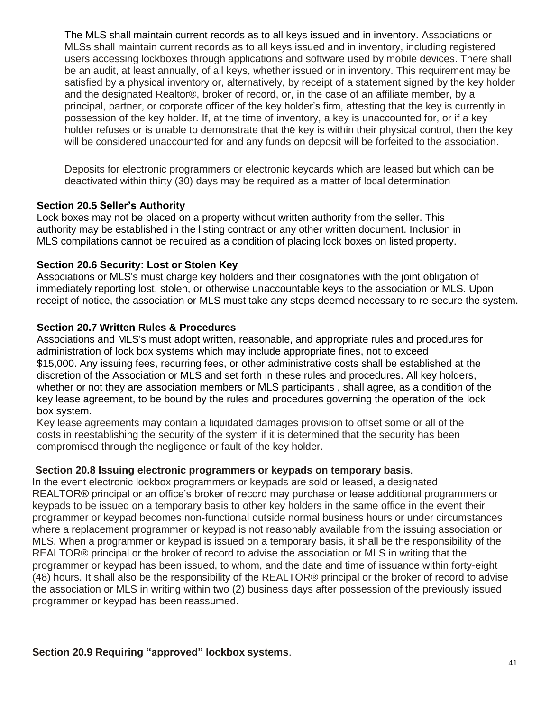The MLS shall maintain current records as to all keys issued and in inventory. Associations or MLSs shall maintain current records as to all keys issued and in inventory, including registered users accessing lockboxes through applications and software used by mobile devices. There shall be an audit, at least annually, of all keys, whether issued or in inventory. This requirement may be satisfied by a physical inventory or, alternatively, by receipt of a statement signed by the key holder and the designated Realtor®, broker of record, or, in the case of an affiliate member, by a principal, partner, or corporate officer of the key holder's firm, attesting that the key is currently in possession of the key holder. If, at the time of inventory, a key is unaccounted for, or if a key holder refuses or is unable to demonstrate that the key is within their physical control, then the key will be considered unaccounted for and any funds on deposit will be forfeited to the association.

Deposits for electronic programmers or electronic keycards which are leased but which can be deactivated within thirty (30) days may be required as a matter of local determination

### <span id="page-40-0"></span>**Section 20.5 Seller's Authority**

Lock boxes may not be placed on a property without written authority from the seller. This authority may be established in the listing contract or any other written document. Inclusion in MLS compilations cannot be required as a condition of placing lock boxes on listed property.

### <span id="page-40-1"></span>**Section 20.6 Security: Lost or Stolen Key**

Associations or MLS's must charge key holders and their cosignatories with the joint obligation of immediately reporting lost, stolen, or otherwise unaccountable keys to the association or MLS. Upon receipt of notice, the association or MLS must take any steps deemed necessary to re-secure the system.

### <span id="page-40-2"></span>**Section 20.7 Written Rules & Procedures**

Associations and MLS's must adopt written, reasonable, and appropriate rules and procedures for administration of lock box systems which may include appropriate fines, not to exceed \$15,000. Any issuing fees, recurring fees, or other administrative costs shall be established at the discretion of the Association or MLS and set forth in these rules and procedures. All key holders, whether or not they are association members or MLS participants , shall agree, as a condition of the key lease agreement, to be bound by the rules and procedures governing the operation of the lock box system.

Key lease agreements may contain a liquidated damages provision to offset some or all of the costs in reestablishing the security of the system if it is determined that the security has been compromised through the negligence or fault of the key holder.

### <span id="page-40-3"></span>**Section 20.8 Issuing electronic programmers or keypads on temporary basis**.

In the event electronic lockbox programmers or keypads are sold or leased, a designated REALTOR® principal or an office's broker of record may purchase or lease additional programmers or keypads to be issued on a temporary basis to other key holders in the same office in the event their programmer or keypad becomes non-functional outside normal business hours or under circumstances where a replacement programmer or keypad is not reasonably available from the issuing association or MLS. When a programmer or keypad is issued on a temporary basis, it shall be the responsibility of the REALTOR® principal or the broker of record to advise the association or MLS in writing that the programmer or keypad has been issued, to whom, and the date and time of issuance within forty-eight (48) hours. It shall also be the responsibility of the REALTOR® principal or the broker of record to advise the association or MLS in writing within two (2) business days after possession of the previously issued programmer or keypad has been reassumed.

**Section 20.9 Requiring "approved" lockbox systems**.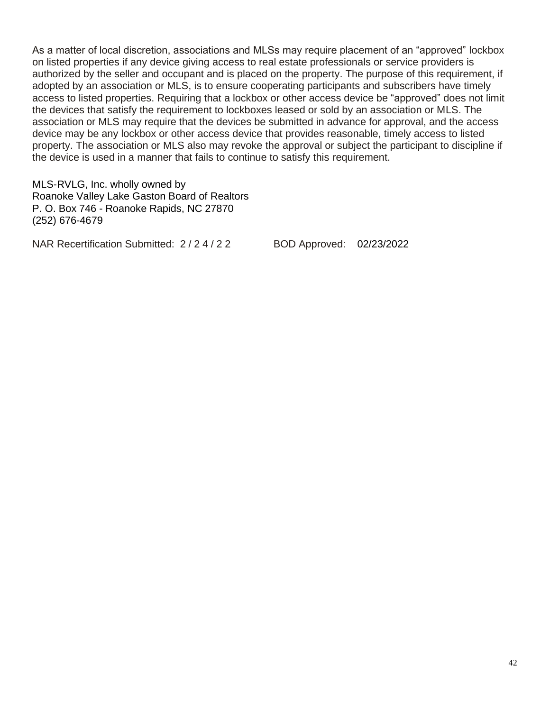As a matter of local discretion, associations and MLSs may require placement of an "approved" lockbox on listed properties if any device giving access to real estate professionals or service providers is authorized by the seller and occupant and is placed on the property. The purpose of this requirement, if adopted by an association or MLS, is to ensure cooperating participants and subscribers have timely access to listed properties. Requiring that a lockbox or other access device be "approved" does not limit the devices that satisfy the requirement to lockboxes leased or sold by an association or MLS. The association or MLS may require that the devices be submitted in advance for approval, and the access device may be any lockbox or other access device that provides reasonable, timely access to listed property. The association or MLS also may revoke the approval or subject the participant to discipline if the device is used in a manner that fails to continue to satisfy this requirement.

MLS-RVLG, Inc. wholly owned by Roanoke Valley Lake Gaston Board of Realtors P. O. Box 746 - Roanoke Rapids, NC 27870 (252) 676-4679

NAR Recertification Submitted: 2 / 2 4 / 2 2 BOD Approved: 02/23/2022